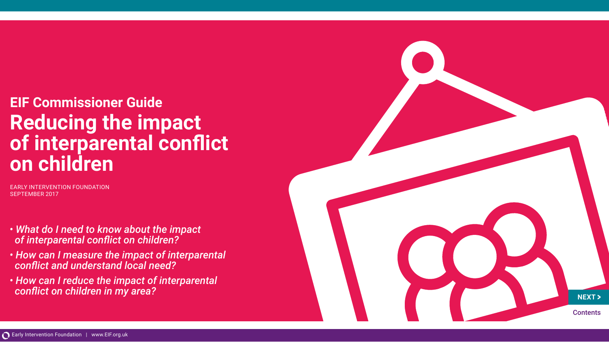# **EIF Commissioner Guide Reducing the impact of interparental conflict on children**

EARLY INTERVENTION FOUNDATION SEPTEMBER 2017

- *What do I need to know about the impact of interparental conflict on children?*
- *How can I measure the impact of interparental conflict and understand local need?*
- *How can I reduce the impact of interparental conflict on children in my area?*

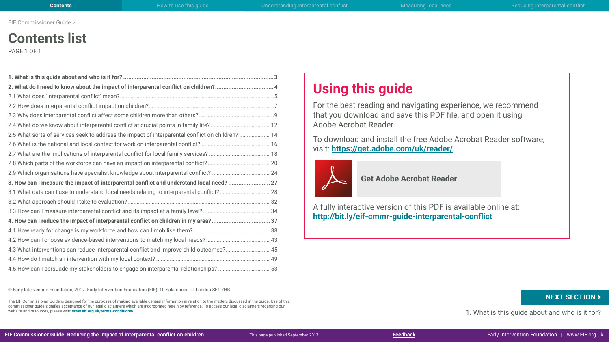# **Contents list**

PAGE 1 OF 1

| 2. What do I need to know about the impact of interparental conflict on children? 4              |  |
|--------------------------------------------------------------------------------------------------|--|
|                                                                                                  |  |
|                                                                                                  |  |
|                                                                                                  |  |
|                                                                                                  |  |
| 2.5 What sorts of services seek to address the impact of interparental conflict on children?  14 |  |
|                                                                                                  |  |
|                                                                                                  |  |
|                                                                                                  |  |
|                                                                                                  |  |
| 3. How can I measure the impact of interparental conflict and understand local need? 27          |  |
| 3.1 What data can I use to understand local needs relating to interparental conflict? 28         |  |
|                                                                                                  |  |
|                                                                                                  |  |
| 4. How can I reduce the impact of interparental conflict on children in my area?37               |  |
|                                                                                                  |  |
|                                                                                                  |  |
| 4.3 What interventions can reduce interparental conflict and improve child outcomes? 45          |  |
|                                                                                                  |  |
| 4.5 How can I persuade my stakeholders to engage on interparental relationships?  53             |  |

© Early Intervention Foundation, 2017. Early Intervention Foundation (EIF), 10 Salamanca Pl, London SE1 7HB

The EIF Commissioner Guide is designed for the purposes of making available general information in relation to the matters discussed in the guide. Use of this commissioner guide signifies acceptance of our legal disclaimers which are incorporated herein by reference. To access our legal disclaimers regarding our website and resources, please visit: **[www.eif.org.uk/terms-conditions/](http://www.eif.org.uk/terms-conditions/)**

# **Using this guide**

For the best reading and navigating experience, we recommend that you download and save this PDF file, and open it using Adobe Acrobat Reader.

To download and install the free Adobe Acrobat Reader software, visit: **<https://get.adobe.com/uk/reader/>**



 **Get Adobe Acrobat Reader**

A fully interactive version of this PDF is available online at: **<http://bit.ly/eif-cmmr-guide-interparental-conflict>**

1. What is this guide about and who is it for? **[Feedback](https://form.jotformeu.com/71794570654365) 1.** What is this guide about and who is it for?<br>**Feedback Early Intervention Foundation** | www.EIF.org.u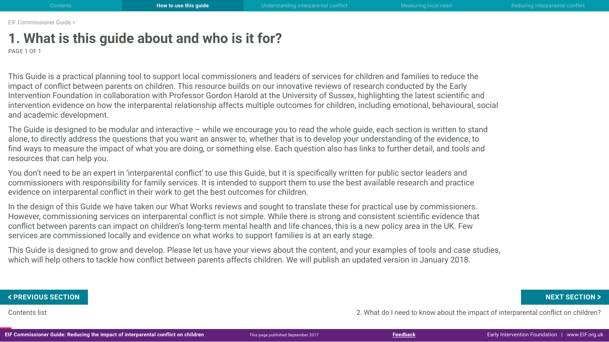# <span id="page-2-0"></span>**1. What is this guide about and who is it for?**

PAGE 1 OF 1

This Guide is a practical planning tool to support local commissioners and leaders of services for children and families to reduce the impact of conflict between parents on children. This resource builds on our innovative reviews of research conducted by the Early Intervention Foundation in collaboration with Professor Gordon Harold at the University of Sussex, highlighting the latest scientific and intervention evidence on how the interparental relationship affects multiple outcomes for children, including emotional, behavioural, social and academic development.

The Guide is designed to be modular and interactive – while we encourage you to read the whole guide, each section is written to stand alone, to directly address the questions that you want an answer to, whether that is to develop your understanding of the evidence, to find ways to measure the impact of what you are doing, or something else. Each question also has links to further detail, and tools and resources that can help you.

You don't need to be an expert in 'interparental conflict' to use this Guide, but it is specifically written for public sector leaders and commissioners with responsibility for family services. It is intended to support them to use the best available research and practice evidence on interparental conflict in their work to get the best outcomes for children.

In the design of this Guide we have taken our What Works reviews and sought to translate these for practical use by commissioners. However, commissioning services on interparental conflict is not simple. While there is strong and consistent scientific evidence that conflict between parents can impact on children's long-term mental health and life chances, this is a new policy area in the UK. Few services are commissioned locally and evidence on what works to support families is at an early stage.

This Guide is designed to grow and develop. Please let us have your views about the content, and your examples of tools and case studies, which will help others to tackle how conflict between parents affects children. We will publish an updated version in January 2018.

Contents list 2. What do I need to know about the impact of interparental conflict on children? FREVIOUS SECTION NEXT SECTION ><br>Contents list<br>IF Commissioner Guide: Reducing the impact of interparental conflict on children and the party of interparental conflict on children?<br>IF Commissioner Guide: Reducing the impact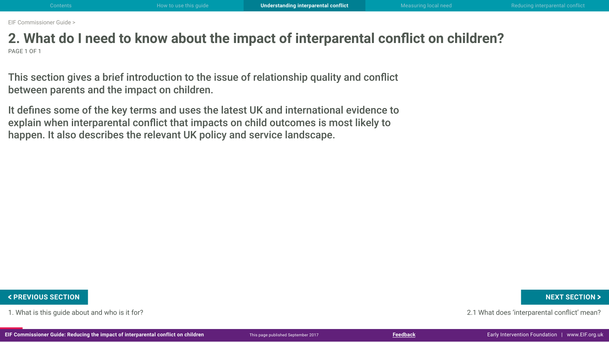## <span id="page-3-0"></span>**2. What do I need to know about the impact of interparental conflict on children?** PAGE 1 OF 1

This section gives a brief introduction to the issue of relationship quality and conflict between parents and the impact on children.

It defines some of the key terms and uses the latest UK and international evidence to explain when interparental conflict that impacts on child outcomes is most likely to happen. It also describes the relevant UK policy and service landscape.

1. What is this guide about and who is it for? 2.1 What does 'interparental conflict' mean?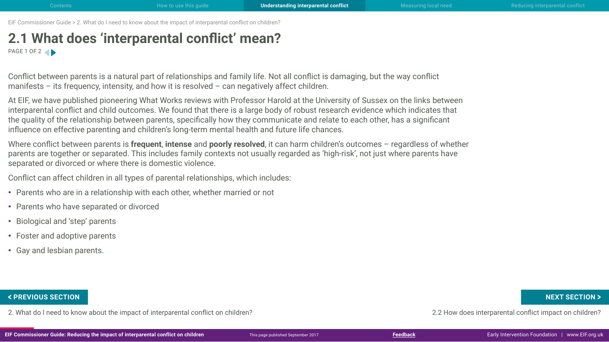## <span id="page-4-0"></span>**2.1 What does 'interparental conflict' mean?** PAGE 1 OF 2

Conflict between parents is a natural part of relationships and family life. Not all conflict is damaging, but the way conflict manifests – its frequency, intensity, and how it is resolved – can negatively affect children.

At EIF, we have published pioneering What Works reviews with Professor Harold at the University of Sussex on the links between interparental conflict and child outcomes. We found that there is a large body of robust research evidence which indicates that the quality of the relationship between parents, specifically how they communicate and relate to each other, has a significant influence on effective parenting and children's long-term mental health and future life chances.

Where conflict between parents is **frequent**, **intense** and **poorly resolved**, it can harm children's outcomes – regardless of whether parents are together or separated. This includes family contexts not usually regarded as 'high-risk', not just where parents have separated or divorced or where there is domestic violence.

Conflict can affect children in all types of parental relationships, which includes:

- Parents who are in a relationship with each other, whether married or not
- Parents who have separated or divorced
- Biological and 'step' parents
- Foster and adoptive parents
- Gay and lesbian parents.

2. What do I need to know about the impact of interparental conflict on children? 2.2 How does interparental conflict impact on children? FREVIOUS SECTION NEXT SECTION ><br>2. What do I need to know about the impact of interparental conflict on children?<br>IF Commissioner Guide: Reducing the impact of interparental conflict on children whis page published Septemb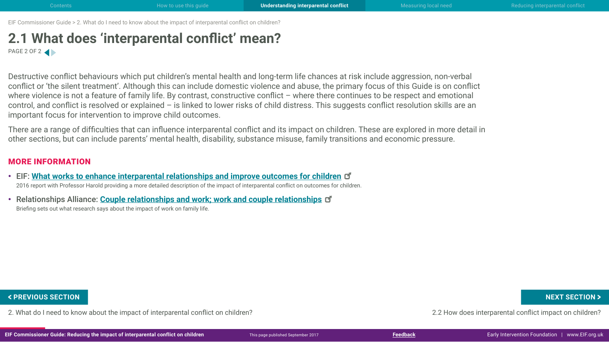## **2.1 What does 'interparental conflict' mean?** PAGE 2 OF 2

Destructive conflict behaviours which put children's mental health and long-term life chances at risk include aggression, non-verbal conflict or 'the silent treatment'. Although this can include domestic violence and abuse, the primary focus of this Guide is on conflict where violence is not a feature of family life. By contrast, constructive conflict – where there continues to be respect and emotional control, and conflict is resolved or explained – is linked to lower risks of child distress. This suggests conflict resolution skills are an important focus for intervention to improve child outcomes.

There are a range of difficulties that can influence interparental conflict and its impact on children. These are explored in more detail in other sections, but can include parents' mental health, disability, substance misuse, family transitions and economic pressure.

### MORE INFORMATION

- EIF: **[What works to enhance interparental relationships and improve outcomes for childre](http://www.eif.org.uk/publication/what-works-to-enhance-inter-parental-relationships-and-improve-outcomes-for-children-3/)n** 2016 report with Professor Harold providing a more detailed description of the impact of interparental conflict on outcomes for children.
- Relationships Alliance: **[Couple relationships and work; work and couple relationships](http://tavistockrelationships.ac.uk/images/uploads/Couple_Relationships_and_Work_RA_briefing.pdf)** Briefing sets out what research says about the impact of work on family life.

2. What do I need to know about the impact of interparental conflict on children? 2.2 How does interparental conflict impact on children? FREVIOUS SECTION NEXT SECTION ><br>2. What do I need to know about the impact of interparental conflict on children?<br>IF Commissioner Guide: Reducing the impact of interparental conflict on children whis page published Septemb

**EIF Commissioner Guide: Reducing the impact of interparental conflict on children** Early Intervention Foundation I [www.EIF.org.uk](http://www.eif.org.uk/)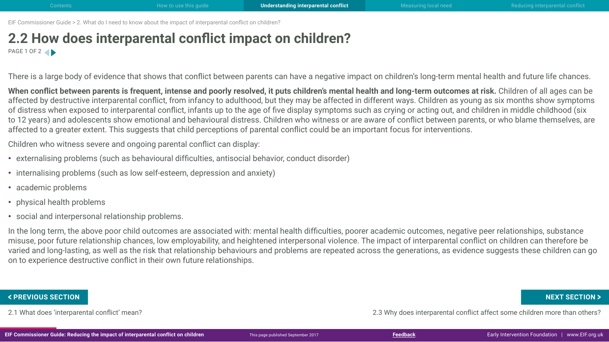## <span id="page-6-0"></span>**2.2 How does interparental conflict impact on children?** PAGE 1 OF 2

There is a large body of evidence that shows that conflict between parents can have a negative impact on children's long-term mental health and future life chances.

When conflict between parents is frequent, intense and poorly resolved, it puts children's mental health and long-term outcomes at risk. Children of all ages can be affected by destructive interparental conflict, from infancy to adulthood, but they may be affected in different ways. Children as young as six months show symptoms of distress when exposed to interparental conflict, infants up to the age of five display symptoms such as crying or acting out, and children in middle childhood (six to 12 years) and adolescents show emotional and behavioural distress. Children who witness or are aware of conflict between parents, or who blame themselves, are affected to a greater extent. This suggests that child perceptions of parental conflict could be an important focus for interventions.

Children who witness severe and ongoing parental conflict can display:

- externalising problems (such as behavioural difficulties, antisocial behavior, conduct disorder)
- internalising problems (such as low self-esteem, depression and anxiety)
- academic problems
- physical health problems
- social and interpersonal relationship problems.

In the long term, the above poor child outcomes are associated with: mental health difficulties, poorer academic outcomes, negative peer relationships, substance misuse, poor future relationship chances, low employability, and heightened interpersonal violence. The impact of interparental conflict on children can therefore be varied and long-lasting, as well as the risk that relationship behaviours and problems are repeated across the generations, as evidence suggests these children can go on to experience destructive conflict in their own future relationships.

2.1 What does 'interparental conflict' mean? 2.3 Why does interparental conflict affect some children more than others? EXT SECTION **Key and the UP of CHANGE SECTION A**<br>2.1 What does 'interparental conflict' mean?<br>IF Commissioner Guide: Reducing the impact of interparental conflict on children **Finis page published September 2017**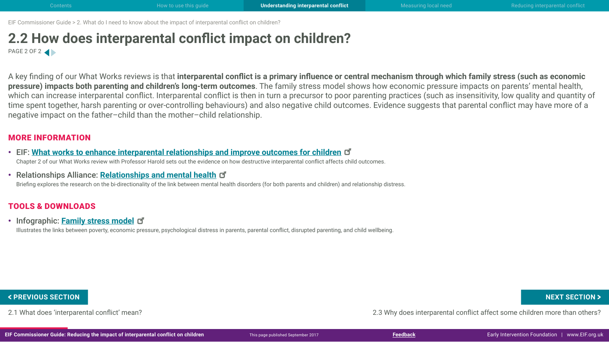## **2.2 How does interparental conflict impact on children?** PAGE 2 OF 2

A key finding of our What Works reviews is that **interparental conflict is a primary influence or central mechanism through which family stress (such as economic pressure) impacts both parenting and children's long-term outcomes**. The family stress model shows how economic pressure impacts on parents' mental health, which can increase interparental conflict. Interparental conflict is then in turn a precursor to poor parenting practices (such as insensitivity, low quality and quantity of time spent together, harsh parenting or over-controlling behaviours) and also negative child outcomes. Evidence suggests that parental conflict may have more of a negative impact on the father–child than the mother–child relationship.

### MORE INFORMATION

- EIF: **[What works to enhance interparental relationships and improve outcomes for childre](http://www.eif.org.uk/publication/what-works-to-enhance-inter-parental-relationships-and-improve-outcomes-for-children-3/)n** Chapter 2 of our What Works review with Professor Harold sets out the evidence on how destructive interparental conflict affects child outcomes.
- Relationships Alliance: **[Relationships and mental health](http://tavistockrelationships.ac.uk/policy-research/policy-briefings/689-couple-relationships-and-mental-health-a-policy-briefing-from-the-relationships-alliance)**

Briefing explores the research on the bi-directionality of the link between mental health disorders (for both parents and children) and relationship distress.

### TOOLS & DOWNLOADS

• Infographic: **[Family stress mode](http://www.eif.org.uk/wp-content/uploads/2017/09/CG-IPR_2-2_family-stress-model.pdf)l**

Illustrates the links between poverty, economic pressure, psychological distress in parents, parental conflict, disrupted parenting, and child wellbeing.

2.1 What does 'interparental conflict' mean? 2.3 Why does interparental conflict affect some children more than others? EXT SECTION **Key and the UP of CHANGE SECTION A**<br>2.1 What does 'interparental conflict' mean?<br>IF Commissioner Guide: Reducing the impact of interparental conflict on children **First page published September 2017**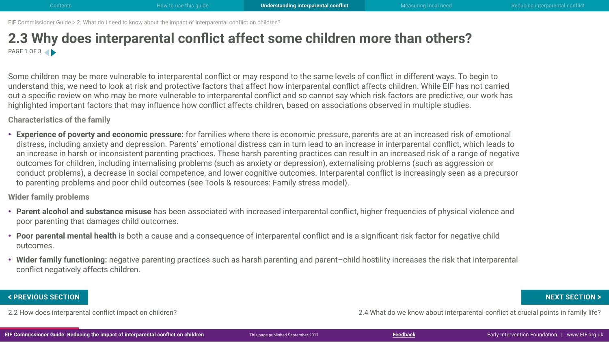## <span id="page-8-0"></span>**2.3 Why does interparental conflict affect some children more than others?** PAGE 1 OF 3

Some children may be more vulnerable to interparental conflict or may respond to the same levels of conflict in different ways. To begin to understand this, we need to look at risk and protective factors that affect how interparental conflict affects children. While EIF has not carried out a specific review on who may be more vulnerable to interparental conflict and so cannot say which risk factors are predictive, our work has highlighted important factors that may influence how conflict affects children, based on associations observed in multiple studies.

**Characteristics of the family**

• **Experience of poverty and economic pressure:** for families where there is economic pressure, parents are at an increased risk of emotional distress, including anxiety and depression. Parents' emotional distress can in turn lead to an increase in interparental conflict, which leads to an increase in harsh or inconsistent parenting practices. These harsh parenting practices can result in an increased risk of a range of negative outcomes for children, including internalising problems (such as anxiety or depression), externalising problems (such as aggression or conduct problems), a decrease in social competence, and lower cognitive outcomes. Interparental conflict is increasingly seen as a precursor to parenting problems and poor child outcomes (see Tools & resources: Family stress model).

**Wider family problems**

- **Parent alcohol and substance misuse** has been associated with increased interparental conflict, higher frequencies of physical violence and poor parenting that damages child outcomes.
- **Poor parental mental health** is both a cause and a consequence of interparental conflict and is a significant risk factor for negative child outcomes.
- Wider family functioning: negative parenting practices such as harsh parenting and parent-child hostility increases the risk that interparental conflict negatively affects children.

2.2 How does interparental conflict impact on children? 2.4 What do we know about interparental conflict at crucial points in family life? FREVIOUS SECTION NEXT SECTION ><br>2.2 How does interparental conflict impact on children?<br>IF Commissioner Guide: Reducing the impact of interparental conflict on children whis page published September 2017<br>IF Commissioner Gu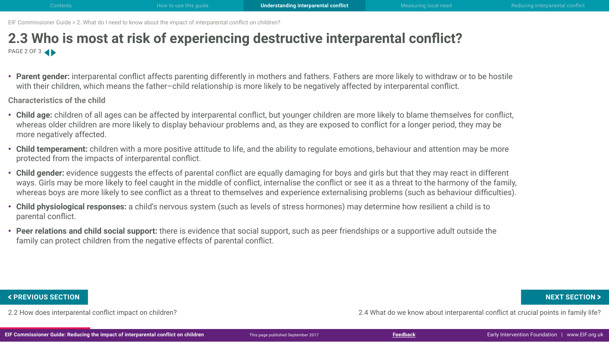## **2.3 Who is most at risk of experiencing destructive interparental conflict?** PAGE 2 OF 3

• **Parent gender:** interparental conflict affects parenting differently in mothers and fathers. Fathers are more likely to withdraw or to be hostile with their children, which means the father–child relationship is more likely to be negatively affected by interparental conflict.

**Characteristics of the child**

- **Child age:** children of all ages can be affected by interparental conflict, but younger children are more likely to blame themselves for conflict, whereas older children are more likely to display behaviour problems and, as they are exposed to conflict for a longer period, they may be more negatively affected.
- **Child temperament:** children with a more positive attitude to life, and the ability to regulate emotions, behaviour and attention may be more protected from the impacts of interparental conflict.
- **Child gender:** evidence suggests the effects of parental conflict are equally damaging for boys and girls but that they may react in different ways. Girls may be more likely to feel caught in the middle of conflict, internalise the conflict or see it as a threat to the harmony of the family, whereas boys are more likely to see conflict as a threat to themselves and experience externalising problems (such as behaviour difficulties).
- **Child physiological responses:** a child's nervous system (such as levels of stress hormones) may determine how resilient a child is to parental conflict.
- **Peer relations and child social support:** there is evidence that social support, such as peer friendships or a supportive adult outside the family can protect children from the negative effects of parental conflict.

2.2 How does interparental conflict impact on children? 2.4 What do we know about interparental conflict at crucial points in family life? FREVIOUS SECTION NEXT SECTION ><br>2.2 How does interparental conflict impact on children?<br>IF Commissioner Guide: Reducing the impact of interparental conflict on children whis page published September 2017<br>IF Commissioner Gu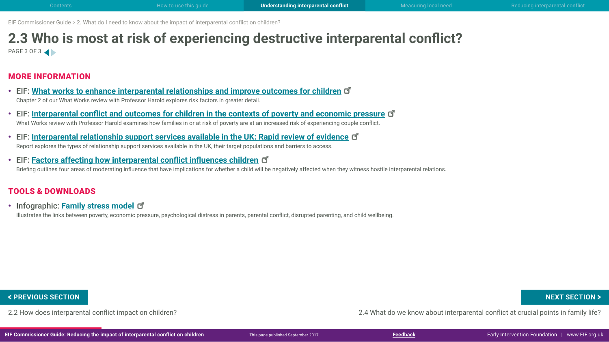## **2.3 Who is most at risk of experiencing destructive interparental conflict?** PAGE 3 OF 3

### MORE INFORMATION

- EIF: **[What works to enhance interparental relationships and improve outcomes for childre](http://www.eif.org.uk/publication/what-works-to-enhance-inter-parental-relationships-and-improve-outcomes-for-children-3/)n** Chapter 2 of our What Works review with Professor Harold explores risk factors in greater detail.
- EIF: **[Interparental conflict and outcomes for children in the contexts of poverty and economic pressur](http://www.eif.org.uk/publication/inter-parental-conflict-and-outcomes-for-children-in-the-contexts-of-poverty-and-economic-pressure/)e** What Works review with Professor Harold examines how families in or at risk of poverty are at an increased risk of experiencing couple conflict.
- EIF: **[Interparental relationship support services available in the UK: Rapid review of evidenc](http://www.eif.org.uk/publication/inter-parental-relationship-support-services-available-in-the-uk-rapid-review-of-evidence/)e** Report explores the types of relationship support services available in the UK, their target populations and barriers to access.
- EIF: **[Factors affecting how interparental conflict influences childre](http://www.eif.org.uk/wp-content/uploads/2017/09/CG-IPR_2-3_factors-affecting-how-conflict-influences-children.pdf)n** Briefing outlines four areas of moderating influence that have implications for whether a child will be negatively affected when they witness hostile interparental relations.

### TOOLS & DOWNLOADS

• Infographic: **[Family stress mode](http://www.eif.org.uk/wp-content/uploads/2017/09/CG-IPR_2-2_family-stress-model.pdf)l**

Illustrates the links between poverty, economic pressure, psychological distress in parents, parental conflict, disrupted parenting, and child wellbeing.

2.2 How does interparental conflict impact on children? 2.4 What do we know about interparental conflict at crucial points in family life? FREVIOUS SECTION NEXT SECTION ><br>2.2 How does interparental conflict impact on children?<br>IF Commissioner Guide: Reducing the impact of interparental conflict on children whis page published September 2017<br>IF Commissioner Gu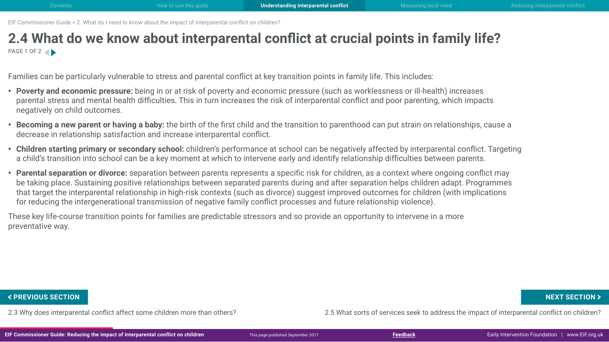## <span id="page-11-0"></span>**2.4 What do we know about interparental conflict at crucial points in family life?** PAGE 1 OF 2

Families can be particularly vulnerable to stress and parental conflict at key transition points in family life. This includes:

- **Poverty and economic pressure:** being in or at risk of poverty and economic pressure (such as worklessness or ill-health) increases parental stress and mental health difficulties. This in turn increases the risk of interparental conflict and poor parenting, which impacts negatively on child outcomes.
- **Becoming a new parent or having a baby:** the birth of the first child and the transition to parenthood can put strain on relationships, cause a decrease in relationship satisfaction and increase interparental conflict.
- **Children starting primary or secondary school:** children's performance at school can be negatively affected by interparental conflict. Targeting a child's transition into school can be a key moment at which to intervene early and identify relationship difficulties between parents.
- **Parental separation or divorce:** separation between parents represents a specific risk for children, as a context where ongoing conflict may be taking place. Sustaining positive relationships between separated parents during and after separation helps children adapt. Programmes that target the interparental relationship in high-risk contexts (such as divorce) suggest improved outcomes for children (with implications for reducing the intergenerational transmission of negative family conflict processes and future relationship violence).

These key life-course transition points for families are predictable stressors and so provide an opportunity to intervene in a more preventative way.

2.3 Why does interparental conflict affect some children more than others? 2.5 What sorts of services seek to address the impact of interparental conflict on children? FREVIOUS SECTION NEXT SECTION ><br>2.3 Why does interparental conflict affect some children more than others?<br>IF Commissioner Guide: Reducing the impact of interparental conflict on children whis page published September 2017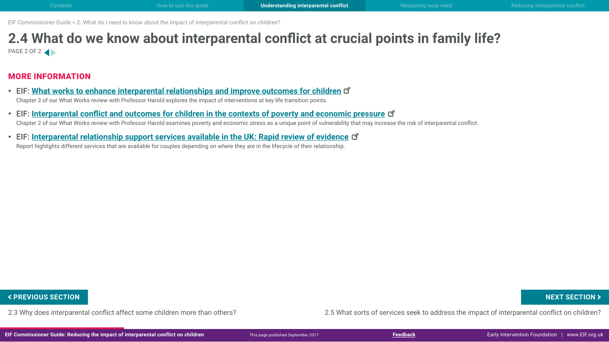## **2.4 What do we know about interparental conflict at crucial points in family life?** PAGE 2 OF 2

### MORE INFORMATION

- EIF: **[What works to enhance interparental relationships and improve outcomes for childre](http://www.eif.org.uk/publication/what-works-to-enhance-inter-parental-relationships-and-improve-outcomes-for-children-3/)n** Chapter 3 of our What Works review with Professor Harold explores the impact of interventions at key life transition points.
- EIF: **[Interparental conflict and outcomes for children in the contexts of poverty and economic pressur](http://www.eif.org.uk/publication/inter-parental-conflict-and-outcomes-for-children-in-the-contexts-of-poverty-and-economic-pressure/)e** Chapter 2 of our What Works review with Professor Harold examines poverty and economic stress as a unique point of vulnerability that may increase the risk of interparental conflict.
- EIF: **[Interparental relationship support services available in the UK: Rapid review of evidenc](http://www.eif.org.uk/publication/inter-parental-relationship-support-services-available-in-the-uk-rapid-review-of-evidence/)e** Report highlights different services that are available for couples depending on where they are in the lifecycle of their relationship.

2.3 Why does interparental conflict affect some children more than others? 2.5 What sorts of services seek to address the impact of interparental conflict on children? FREVIOUS SECTION NEXT SECTION ><br>2.3 Why does interparental conflict affect some children more than others?<br>IF Commissioner Guide: Reducing the impact of interparental conflict on children This page published September 2017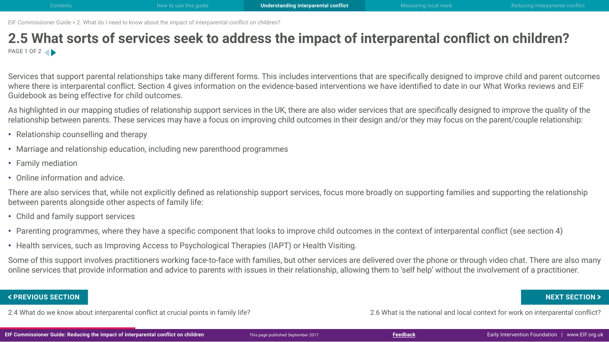## <span id="page-13-0"></span>**2.5 What sorts of services seek to address the impact of interparental conflict on children?** PAGE 1 OF 2

Services that support parental relationships take many different forms. This includes interventions that are specifically designed to improve child and parent outcomes where there is interparental conflict. Section 4 gives information on the evidence-based interventions we have identified to date in our What Works reviews and EIF Guidebook as being effective for child outcomes.

As highlighted in our mapping studies of relationship support services in the UK, there are also wider services that are specifically designed to improve the quality of the relationship between parents. These services may have a focus on improving child outcomes in their design and/or they may focus on the parent/couple relationship:

- Relationship counselling and therapy
- Marriage and relationship education, including new parenthood programmes
- Family mediation
- Online information and advice.

There are also services that, while not explicitly defined as relationship support services, focus more broadly on supporting families and supporting the relationship between parents alongside other aspects of family life:

- Child and family support services
- Parenting programmes, where they have a specific component that looks to improve child outcomes in the context of interparental conflict (see section 4)
- Health services, such as Improving Access to Psychological Therapies (IAPT) or Health Visiting.

Some of this support involves practitioners working face-to-face with families, but other services are delivered over the phone or through video chat. There are also many online services that provide information and advice to parents with issues in their relationship, allowing them to 'self help' without the involvement of a practitioner.

2.4 What do we know about interparental conflict at crucial points in family life? 2.6 What is the national and local context for work on interparental conflict? EXT SECTION **Kerok and the UP ACH SECTION 3 A SECTION 3 A SECTION 3 A SECTION 3 A SECTION 3 A SECTION 3 2.6 What is the national and local context for work on interparental conflict?<br>2.4 What do we know about interparental**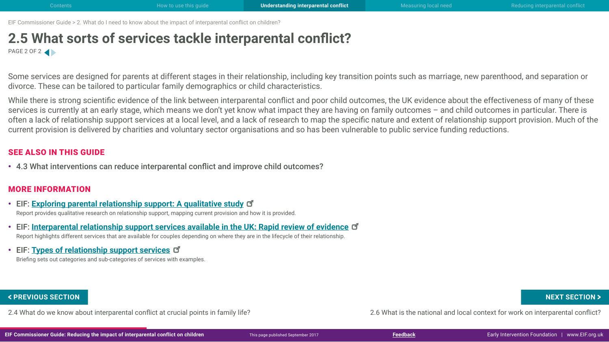## **2.5 What sorts of services tackle interparental conflict?** PAGE 2 OF 2

Some services are designed for parents at different stages in their relationship, including key transition points such as marriage, new parenthood, and separation or divorce. These can be tailored to particular family demographics or child characteristics.

While there is strong scientific evidence of the link between interparental conflict and poor child outcomes, the UK evidence about the effectiveness of many of these services is currently at an early stage, which means we don't yet know what impact they are having on family outcomes – and child outcomes in particular. There is often a lack of relationship support services at a local level, and a lack of research to map the specific nature and extent of relationship support provision. Much of the current provision is delivered by charities and voluntary sector organisations and so has been vulnerable to public service funding reductions.

### SEE ALSO IN THIS GUIDE

• 4.3 What interventions can reduce interparental conflict and improve child outcomes?

### MORE INFORMATION

- EIF: **[Exploring parental relationship support: A qualitative study](http://www.eif.org.uk/publication/exploring-parental-relationship-support-a-qualitative-study/)** Report provides qualitative research on relationship support, mapping current provision and how it is provided.
- EIF: **[Interparental relationship support services available in the UK: Rapid review of evidence](http://www.eif.org.uk/publication/inter-parental-relationship-support-services-available-in-the-uk-rapid-review-of-evidence/)** Report highlights different services that are available for couples depending on where they are in the lifecycle of their relationship.
- EIF: **[Types of relationship support service](http://www.eif.org.uk/wp-content/uploads/2017/09/CG-IPR_2-5_types-of-services.pdf)s**

Briefing sets out categories and sub-categories of services with examples.

2.4 What do we know about interparental conflict at crucial points in family life? 2.6 What is the national and local context for work on interparental conflict? EXT SECTION **Kerok and the UP ACH SECTION 3 A SECTION 3 A SECTION 3 A SECTION 3 A SECTION 3 A SECTION 3 A SECTION 3 A SECTION 3 A SECTION 3 A SECTION 3 A SECTION 3 A SECTION 3 A SECTION 3 A SECTION 3 A SECTION 3 A SECTION**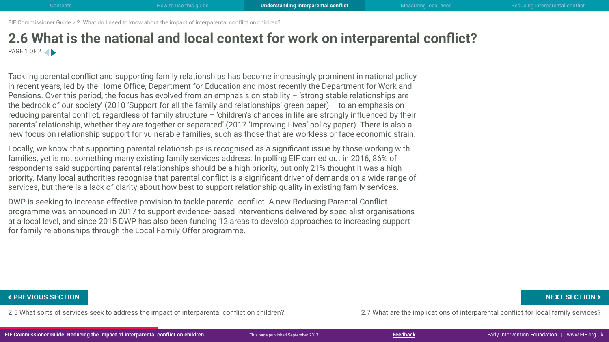## <span id="page-15-0"></span>**2.6 What is the national and local context for work on interparental conflict?** PAGE 1 OF 2

Tackling parental conflict and supporting family relationships has become increasingly prominent in national policy in recent years, led by the Home Office, Department for Education and most recently the Department for Work and Pensions. Over this period, the focus has evolved from an emphasis on stability – 'strong stable relationships are the bedrock of our society' (2010 'Support for all the family and relationships' green paper) – to an emphasis on reducing parental conflict, regardless of family structure – 'children's chances in life are strongly influenced by their parents' relationship, whether they are together or separated' (2017 'Improving Lives' policy paper). There is also a new focus on relationship support for vulnerable families, such as those that are workless or face economic strain.

Locally, we know that supporting parental relationships is recognised as a significant issue by those working with families, yet is not something many existing family services address. In polling EIF carried out in 2016, 86% of respondents said supporting parental relationships should be a high priority, but only 21% thought it was a high priority. Many local authorities recognise that parental conflict is a significant driver of demands on a wide range of services, but there is a lack of clarity about how best to support relationship quality in existing family services.

DWP is seeking to increase effective provision to tackle parental conflict. A new Reducing Parental Conflict programme was announced in 2017 to support evidence- based interventions delivered by specialist organisations at a local level, and since 2015 DWP has also been funding 12 areas to develop approaches to increasing support for family relationships through the Local Family Offer programme.

2.5 What sorts of services seek to address the impact of interparental conflict on children? 2.7 What are the implications of interparental conflict for local family services? FREVIOUS SECTION NEXT SECTION ><br>2.5 What sorts of services seek to address the impact of interparental conflict on children?<br>IF Commissioner Guide: Reducing the impact of interparental conflict on children This page publis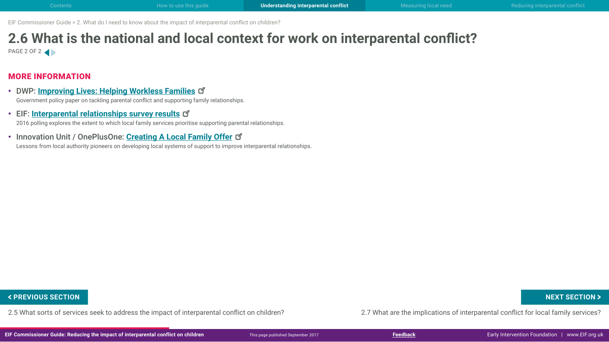## **2.6 What is the national and local context for work on interparental conflict?** PAGE 2 OF 2

### MORE INFORMATION

- DWP: **[Improving Lives: Helping Workless Familie](https://www.gov.uk/government/uploads/system/uploads/attachment_data/file/621364/improving-lives-helping-workless-families-web-version.pdf)s** Government policy paper on tackling parental conflict and supporting family relationships.
- EIF: **[Interparental relationships survey result](http://www.eif.org.uk/inter-parental-relationships-survey-results/)s** 2016 polling explores the extent to which local family services prioritise supporting parental relationships.
- Innovation Unit / OnePlusOne: **Creating A Local Family Offer** Lessons from local authority pioneers on developing local systems of support to improve interparental relationships.

2.5 What sorts of services seek to address the impact of interparental conflict on children? 2.7 What are the implications of interparental conflict for local family services? FREVIOUS SECTION NEXT SECTION ><br>2.5 What sorts of services seek to address the impact of interparental conflict on children?<br>IF Commissioner Guide: Reducing the impact of interparental conflict on children This page publis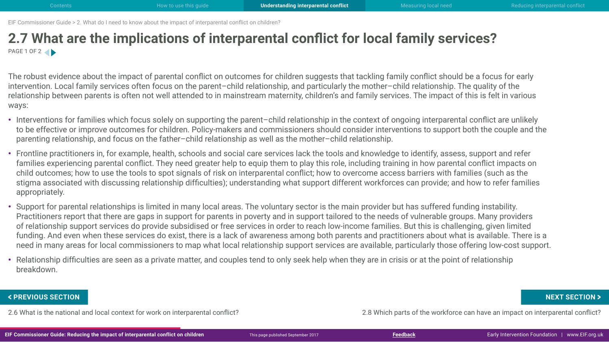## <span id="page-17-0"></span>**2.7 What are the implications of interparental conflict for local family services?** PAGE 1 OF 2

The robust evidence about the impact of parental conflict on outcomes for children suggests that tackling family conflict should be a focus for early intervention. Local family services often focus on the parent–child relationship, and particularly the mother–child relationship. The quality of the relationship between parents is often not well attended to in mainstream maternity, children's and family services. The impact of this is felt in various ways:

- Interventions for families which focus solely on supporting the parent–child relationship in the context of ongoing interparental conflict are unlikely to be effective or improve outcomes for children. Policy-makers and commissioners should consider interventions to support both the couple and the parenting relationship, and focus on the father–child relationship as well as the mother–child relationship.
- Frontline practitioners in, for example, health, schools and social care services lack the tools and knowledge to identify, assess, support and refer families experiencing parental conflict. They need greater help to equip them to play this role, including training in how parental conflict impacts on child outcomes; how to use the tools to spot signals of risk on interparental conflict; how to overcome access barriers with families (such as the stigma associated with discussing relationship difficulties); understanding what support different workforces can provide; and how to refer families appropriately.
- Support for parental relationships is limited in many local areas. The voluntary sector is the main provider but has suffered funding instability. Practitioners report that there are gaps in support for parents in poverty and in support tailored to the needs of vulnerable groups. Many providers of relationship support services do provide subsidised or free services in order to reach low-income families. But this is challenging, given limited funding. And even when these services do exist, there is a lack of awareness among both parents and practitioners about what is available. There is a need in many areas for local commissioners to map what local relationship support services are available, particularly those offering low-cost support.
- Relationship difficulties are seen as a private matter, and couples tend to only seek help when they are in crisis or at the point of relationship breakdown.

2.6 What is the national and local context for work on interparental conflict? 2.8 Which parts of the workforce can have an impact on interparental conflict? FREVIOUS SECTION NEXT SECTION ><br>2.6 What is the national and local context for work on interparental conflict?<br>IF Commissioner Guide: Reducing the impact of interparental conflict on children This page published September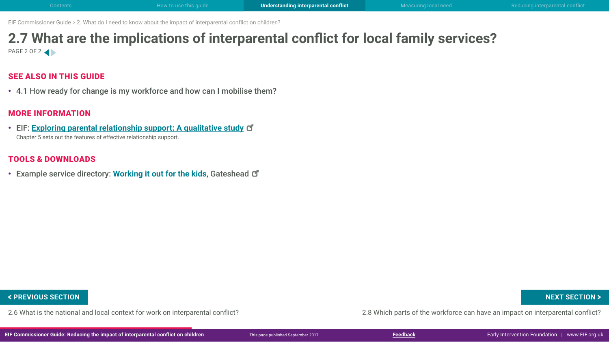## **2.7 What are the implications of interparental conflict for local family services?** PAGE 2 OF 2

## SEE ALSO IN THIS GUIDE

• 4.1 How ready for change is my workforce and how can I mobilise them?

### MORE INFORMATION

• EIF: **[Exploring parental relationship support: A qualitative study](http://www.eif.org.uk/publication/exploring-parental-relationship-support-a-qualitative-study/)** Chapter 5 sets out the features of effective relationship support.

## TOOLS & DOWNLOADS

• Example service directory: **[Working it out for the kids](http://www.gateshead.gov.uk/DocumentLibrary/CBS/Care/leaflets/Family-intervention-team/PUB-CW17-Working-it-out-for-the-kids-guide-job-0933.pdf)**, Gateshead

2.6 What is the national and local context for work on interparental conflict? 2.8 Which parts of the workforce can have an impact on interparental conflict? **FIGURE AND SECTION AND SECTION A SECTION A**<br>2.6 What is the national and local context for work on interparental conflict?<br>IF Commissioner Guide: Reducing the impact of interparental conflict on children This page publish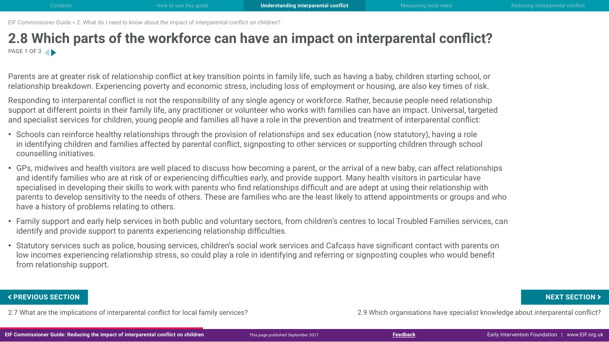## <span id="page-19-0"></span>**2.8 Which parts of the workforce can have an impact on interparental conflict?** PAGE 1 OF 3

Parents are at greater risk of relationship conflict at key transition points in family life, such as having a baby, children starting school, or relationship breakdown. Experiencing poverty and economic stress, including loss of employment or housing, are also key times of risk.

Responding to interparental conflict is not the responsibility of any single agency or workforce. Rather, because people need relationship support at different points in their family life, any practitioner or volunteer who works with families can have an impact. Universal, targeted and specialist services for children, young people and families all have a role in the prevention and treatment of interparental conflict:

- Schools can reinforce healthy relationships through the provision of relationships and sex education (now statutory), having a role in identifying children and families affected by parental conflict, signposting to other services or supporting children through school counselling initiatives.
- GPs, midwives and health visitors are well placed to discuss how becoming a parent, or the arrival of a new baby, can affect relationships and identify families who are at risk of or experiencing difficulties early, and provide support. Many health visitors in particular have specialised in developing their skills to work with parents who find relationships difficult and are adept at using their relationship with parents to develop sensitivity to the needs of others. These are families who are the least likely to attend appointments or groups and who have a history of problems relating to others.
- Family support and early help services in both public and voluntary sectors, from children's centres to local Troubled Families services, can identify and provide support to parents experiencing relationship difficulties.
- Statutory services such as police, housing services, children's social work services and Cafcass have significant contact with parents on low incomes experiencing relationship stress, so could play a role in identifying and referring or signposting couples who would benefit from relationship support.

FREVIOUS SECTION NEXT SECTION ><br>2.7 What are the implications of interparental conflict for local family services?<br>IF Commissioner Guide: Reducing the impact of interparental conflict on children This page published Septem

2.7 What are the implications of interparental conflict for local family services? 2.9 Which organisations have specialist knowledge about interparental conflict?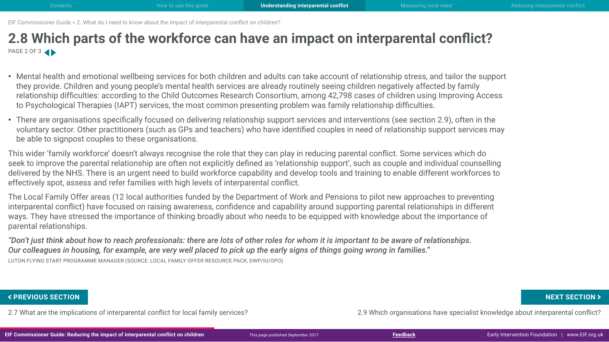## **2.8 Which parts of the workforce can have an impact on interparental conflict?** PAGE 2 OF 3

- Mental health and emotional wellbeing services for both children and adults can take account of relationship stress, and tailor the support they provide. Children and young people's mental health services are already routinely seeing children negatively affected by family relationship difficulties: according to the [Child Outcomes Research Consortium,](http://www.corc.uk.net/media/1172/201612child_and_parent-reported_outcomes_and_experience_from_child_and-young_peoples_mental_health_services_2011-2015.pdf) among 42,798 cases of children using Improving Access to Psychological Therapies (IAPT) services, the most common presenting problem was family relationship difficulties.
- There are organisations specifically focused on delivering relationship support services and interventions (see section 2.9), often in the voluntary sector. Other practitioners (such as GPs and teachers) who have identified couples in need of relationship support services may be able to signpost couples to these organisations.

This wider 'family workforce' doesn't always recognise the role that they can play in reducing parental conflict. Some services which do seek to improve the parental relationship are often not explicitly defined as 'relationship support', such as couple and individual counselling delivered by the NHS. There is an urgent need to build workforce capability and develop tools and training to enable different workforces to effectively spot, assess and refer families with high levels of interparental conflict.

The Local Family Offer areas (12 local authorities funded by the Department of Work and Pensions to pilot new approaches to preventing interparental conflict) have focused on raising awareness, confidence and capability around supporting parental relationships in different ways. They have stressed the importance of thinking broadly about who needs to be equipped with knowledge about the importance of parental relationships.

*"Don't just think about how to reach professionals: there are lots of other roles for whom it is important to be aware of relationships. Our colleagues in housing, for example, are very well placed to pick up the early signs of things going wrong in families."*  LUTON FLYING START PROGRAMME MANAGER (SOURCE: LOCAL FAMILY OFFER RESOURCE PACK, DWP/IU/OPO)

FREVIOUS SECTION NEXT SECTION ><br>2.7 What are the implications of interparental conflict for local family services?<br>IF Commissioner Guide: Reducing the impact of interparental conflict on children This page published Septem

2.7 What are the implications of interparental conflict for local family services? 2.9 Which organisations have specialist knowledge about interparental conflict?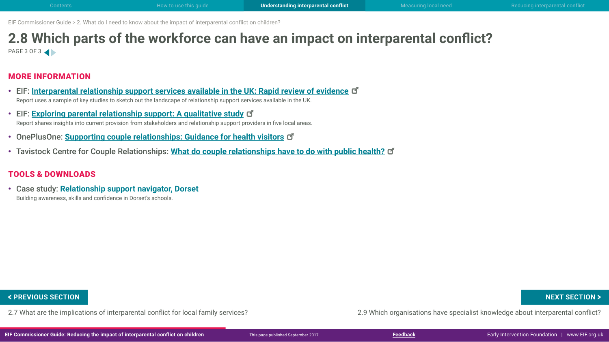## **2.8 Which parts of the workforce can have an impact on interparental conflict?** PAGE 3 OF 3

### MORE INFORMATION

- EIF: **[Interparental relationship support services available in the UK: Rapid review of evidenc](http://www.eif.org.uk/publication/inter-parental-relationship-support-services-available-in-the-uk-rapid-review-of-evidence/)e** Report uses a sample of key studies to sketch out the landscape of relationship support services available in the UK.
- EIF: **[Exploring parental relationship support: A qualitative study](http://www.eif.org.uk/publication/exploring-parental-relationship-support-a-qualitative-study/)** Report shares insights into current provision from stakeholders and relationship support providers in five local areas.
- OnePlusOne: **[Supporting couple relationships: Guidance for health visitor](https://static1.squarespace.com/static/57babc91f5e231469b47c954/t/58860719ebbd1a30e9986e3b/1485178655692/HV-guidance.pdf)s**
- Tavistock Centre for Couple Relationships: **[What do couple relationships have to do with public health](http://tavistockrelationships.ac.uk/images/uploads/policy_use/policybriefings/TCCR_public_health_briefing.pdf)?**

### TOOLS & DOWNLOADS

• Case study: **Relationship support navigator, Dorset** Building awareness, skills and confidence in Dorset's schools.

FREVIOUS SECTION NEXT SECTION > NEXT SECTION<br>2.7 What are the implications of interparental conflict for local family services?<br>IF Commissioner Guide: Reducing the impact of interparental conflict on children This page pub

2.7 What are the implications of interparental conflict for local family services? 2.9 Which organisations have specialist knowledge about interparental conflict?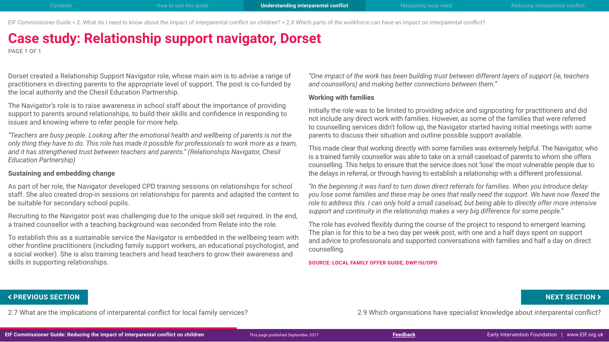EIF Commissioner Guide > 2. What do I need to know about the impact of interparental conflict on children? > 2.8 Which parts of the workforce can have an impact on interparental conflict?

# **Case study: Relationship support navigator, Dorset**

PAGE 1 OF 1

Dorset created a Relationship Support Navigator role, whose main aim is to advise a range of practitioners in directing parents to the appropriate level of support. The post is co-funded by the local authority and the Chesil Education Partnership.

The Navigator's role is to raise awareness in school staff about the importance of providing support to parents around relationships, to build their skills and confidence in responding to issues and knowing where to refer people for more help.

*"Teachers are busy people. Looking after the emotional health and wellbeing of parents is not the only thing they have to do. This role has made it possible for professionals to work more as a team, and it has strengthened trust between teachers and parents." (Relationships Navigator, Chesil Education Partnership)*

### **Sustaining and embedding change**

As part of her role, the Navigator developed CPD training sessions on relationships for school staff. She also created drop-in sessions on relationships for parents and adapted the content to be suitable for secondary school pupils.

Recruiting to the Navigator post was challenging due to the unique skill set required. In the end, a trained counsellor with a teaching background was seconded from Relate into the role.

To establish this as a sustainable service the Navigator is embedded in the wellbeing team with other frontline practitioners (including family support workers, an educational psychologist, and a social worker). She is also training teachers and head teachers to grow their awareness and skills in supporting relationships.

*"One impact of the work has been building trust between different layers of support (ie, teachers and counsellors) and making better connections between them."*

### **Working with families**

Initially the role was to be limited to providing advice and signposting for practitioners and did not include any direct work with families. However, as some of the families that were referred to counselling services didn't follow up, the Navigator started having initial meetings with some parents to discuss their situation and outline possible support available.

This made clear that working directly with some families was extremely helpful. The Navigator, who is a trained family counsellor was able to take on a small caseload of parents to whom she offers counselling. This helps to ensure that the service does not 'lose' the most vulnerable people due to the delays in referral, or through having to establish a relationship with a different professional.

*"In the beginning it was hard to turn down direct referrals for families. When you introduce delay you lose some families and these may be ones that really need the support. We have now flexed the role to address this. I can only hold a small caseload, but being able to directly offer more intensive support and continuity in the relationship makes a very big difference for some people."*

The role has evolved flexibly during the course of the project to respond to emergent learning. The plan is for this to be a two day per week post, with one and a half days spent on support and advice to professionals and supported conversations with families and half a day on direct counselling.

**SOURCE: LOCAL FAMILY OFFER GUIDE, DWP/IU/OPO**

2.7 What are the implications of interparental conflict for local family services? 2.9 Which organisations have specialist knowledge about interparental conflict? FREVIOUS SECTION NEXT SECTION > NEXT SECTION > NEXT SECTION > A PREVIOUS SECTION > NEXT SECTION<br>2.7 What are the implications of interparental conflict for local family services?<br>IF Commissioner Guide: Reducing the impact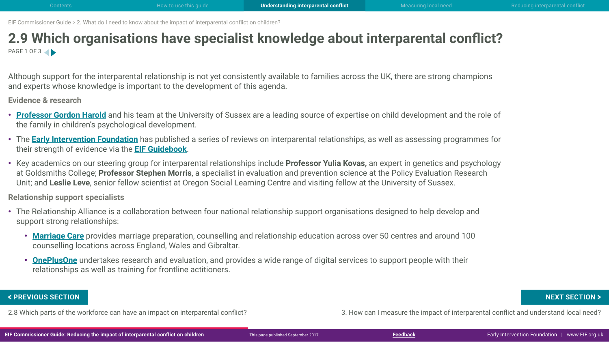## <span id="page-23-0"></span>**2.9 Which organisations have specialist knowledge about interparental conflict?** PAGE 1 OF 3

Although support for the interparental relationship is not yet consistently available to families across the UK, there are strong champions and experts whose knowledge is important to the development of this agenda.

**Evidence & research**

- **[Professor Gordon Harold](http://www.sussex.ac.uk/profiles/325429)** and his team at the University of Sussex are a leading source of expertise on child development and the role of the family in children's psychological development.
- The **[Early Intervention Foundation](http://www.eif.org.uk/inter-parental-relationships/)** has published a series of reviews on interparental relationships, as well as assessing programmes for their strength of evidence via the **[EIF Guidebook](http://guidebook.eif.org.uk/)**.
- Key academics on our steering group for interparental relationships include **Professor Yulia Kovas,** an expert in genetics and psychology at Goldsmiths College; **Professor Stephen Morris**, a specialist in evaluation and prevention science at the Policy Evaluation Research Unit; and **Leslie Leve**, senior fellow scientist at Oregon Social Learning Centre and visiting fellow at the University of Sussex.

**Relationship support specialists**

- The Relationship Alliance is a collaboration between four national relationship support organisations designed to help develop and support strong relationships:
	- **[Marriage Care](http://www.marriagecare.org.uk/)** provides marriage preparation, counselling and relationship education across over 50 centres and around 100 counselling locations across England, Wales and Gibraltar.
	- **[OnePlusOne](http://www.oneplusone.space/)** undertakes research and evaluation, and provides a wide range of digital services to support people with their relationships as well as training for frontline actitioners.

FREVIOUS SECTION NEXT SECTION ><br>2.8 Which parts of the workforce can have an impact on interparental conflict?<br>IF Commissioner Guide: Reducing the impact of interparental conflict on children This page published September

2.8 Which parts of the workforce can have an impact on interparental conflict? 3. How can I measure the impact of interparental conflict and understand local need?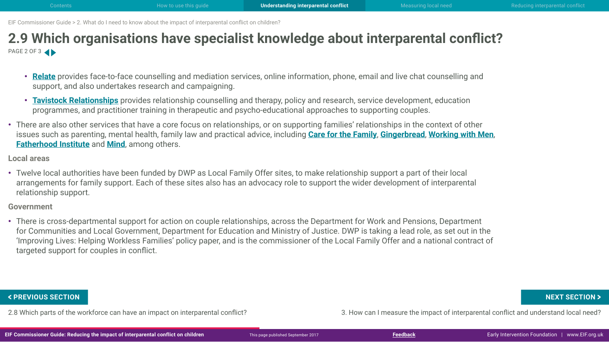## **2.9 Which organisations have specialist knowledge about interparental conflict?** PAGE 2 OF 3

- **[Relate](https://www.relate.org.uk/)** provides face-to-face counselling and mediation services, online information, phone, email and live chat counselling and support, and also undertakes research and campaigning.
- **[Tavistock Relationships](http://www.tavistockrelationships.org/)** provides relationship counselling and therapy, policy and research, service development, education programmes, and practitioner training in therapeutic and psycho-educational approaches to supporting couples.
- There are also other services that have a core focus on relationships, or on supporting families' relationships in the context of other issues such as parenting, mental health, family law and practical advice, including **[Care for the Family](https://www.careforthefamily.org.uk/)**, **[Gingerbread](https://gingerbread.org.uk/)**, **[Working with Men](http://workingwithmen.org/)**, **[Fatherhood Institute](http://www.fatherhoodinstitute.org/)** and **[Mind](http://www.mind.org.uk/)**, among others.

### **Local areas**

• Twelve local authorities have been funded by DWP as Local Family Offer sites, to make relationship support a part of their local arrangements for family support. Each of these sites also has an advocacy role to support the wider development of interparental relationship support.

### **Government**

• There is cross-departmental support for action on couple relationships, across the Department for Work and Pensions, Department for Communities and Local Government, Department for Education and Ministry of Justice. DWP is taking a lead role, as set out in the 'Improving Lives: Helping Workless Families' policy paper, and is the commissioner of the Local Family Offer and a national contract of targeted support for couples in conflict.

2.8 Which parts of the workforce can have an impact on interparental conflict? 3. How can I measure the impact of interparental conflict and understand local need? **FIGURE AND SECTION AND SECTION A SECTION A**<br>2.8 Which parts of the workforce can have an impact on interparental conflict?<br>IF Commissioner Guide: Reducing the impact of interparental conflict on children This page publish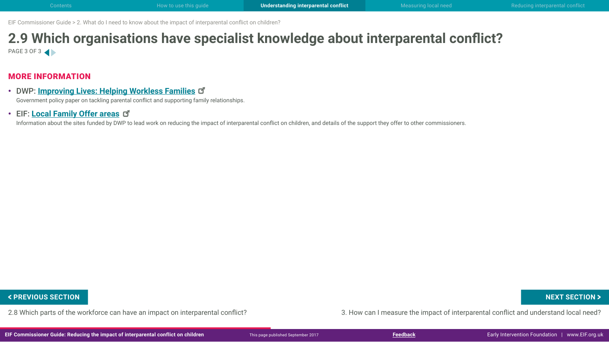## **2.9 Which organisations have specialist knowledge about interparental conflict?** PAGE 3 OF 3

### MORE INFORMATION

- DWP: **[Improving Lives: Helping Workless Familie](https://www.gov.uk/government/uploads/system/uploads/attachment_data/file/621364/improving-lives-helping-workless-families-web-version.pdf)s** Government policy paper on tackling parental conflict and supporting family relationships.
- EIF: **[Local Family Offer areas](http://www.eif.org.uk/local-family-offer-network/)**

Information about the sites funded by DWP to lead work on reducing the impact of interparental conflict on children, and details of the support they offer to other commissioners.

2.8 Which parts of the workforce can have an impact on interparental conflict? 3. How can I measure the impact of interparental conflict and understand local need? **FIGURE AND SECTION AND SECTION A SECTION A**<br>2.8 Which parts of the workforce can have an impact on interparental conflict?<br>IF Commissioner Guide: Reducing the impact of interparental conflict on children This page publish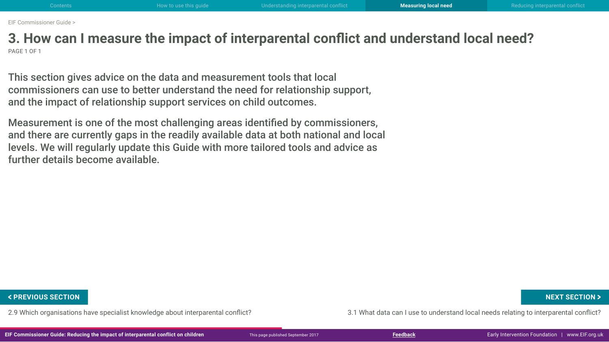<span id="page-26-0"></span>**3. How can I measure the impact of interparental conflict and understand local need?** PAGE 1 OF 1

This section gives advice on the data and measurement tools that local commissioners can use to better understand the need for relationship support, and the impact of relationship support services on child outcomes.

Measurement is one of the most challenging areas identified by commissioners, and there are currently gaps in the readily available data at both national and local levels. We will regularly update this Guide with more tailored tools and advice as further details become available.

2.9 Which organisations have specialist knowledge about interparental conflict? 3.1 What data can I use to understand local needs relating to interparental conflict? FREVIOUS SECTION NEXT SECTION ><br>2.9 Which organisations have specialist knowledge about interparental conflict?<br>IF Commissioner Guide: Reducing the impact of interparental conflict on children This page published September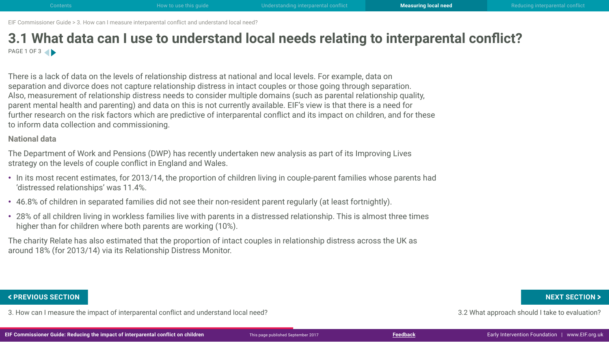## <span id="page-27-0"></span>**3.1 What data can I use to understand local needs relating to interparental conflict?** PAGE 1 OF 3

There is a lack of data on the levels of relationship distress at national and local levels. For example, data on separation and divorce does not capture relationship distress in intact couples or those going through separation. Also, measurement of relationship distress needs to consider multiple domains (such as parental relationship quality, parent mental health and parenting) and data on this is not currently available. EIF's view is that there is a need for further research on the risk factors which are predictive of interparental conflict and its impact on children, and for these to inform data collection and commissioning.

### **National data**

The Department of Work and Pensions (DWP) has recently undertaken new analysis as part of its Improving Lives strategy on the levels of couple conflict in England and Wales.

- In its most recent estimates, for 2013/14, the proportion of children living in couple-parent families whose parents had 'distressed relationships' was 11.4%.
- 46.8% of children in separated families did not see their non-resident parent regularly (at least fortnightly).
- 28% of all children living in workless families live with parents in a distressed relationship. This is almost three times higher than for children where both parents are working (10%).

The charity Relate has also estimated that the proportion of intact couples in relationship distress across the UK as around 18% (for 2013/14) via its Relationship Distress Monitor.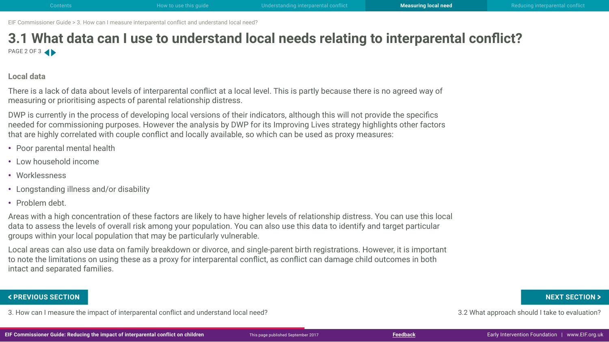## **3.1 What data can I use to understand local needs relating to interparental conflict?** PAGE 2 OF 3

### **Local data**

There is a lack of data about levels of interparental conflict at a local level. This is partly because there is no agreed way of measuring or prioritising aspects of parental relationship distress.

DWP is currently in the process of developing local versions of their indicators, although this will not provide the specifics needed for commissioning purposes. However the analysis by DWP for its Improving Lives strategy highlights other factors that are highly correlated with couple conflict and locally available, so which can be used as proxy measures:

- Poor parental mental health
- Low household income
- Worklessness
- Longstanding illness and/or disability
- Problem debt.

Areas with a high concentration of these factors are likely to have higher levels of relationship distress. You can use this local data to assess the levels of overall risk among your population. You can also use this data to identify and target particular groups within your local population that may be particularly vulnerable.

Local areas can also use data on family breakdown or divorce, and single-parent birth registrations. However, it is important to note the limitations on using these as a proxy for interparental conflict, as conflict can damage child outcomes in both intact and separated families.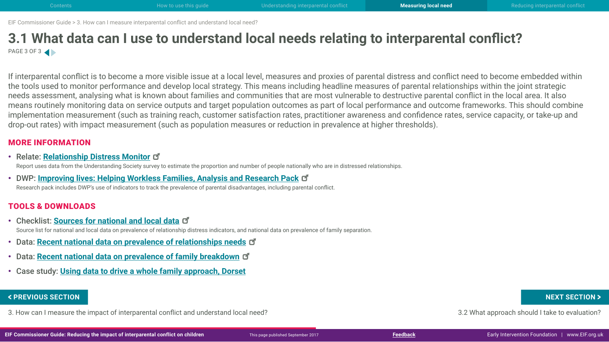## **3.1 What data can I use to understand local needs relating to interparental conflict?** PAGE 3 OF 3

If interparental conflict is to become a more visible issue at a local level, measures and proxies of parental distress and conflict need to become embedded within the tools used to monitor performance and develop local strategy. This means including headline measures of parental relationships within the joint strategic needs assessment, analysing what is known about families and communities that are most vulnerable to destructive parental conflict in the local area. It also means routinely monitoring data on service outputs and target population outcomes as part of local performance and outcome frameworks. This should combine implementation measurement (such as training reach, customer satisfaction rates, practitioner awareness and confidence rates, service capacity, or take-up and drop-out rates) with impact measurement (such as population measures or reduction in prevalence at higher thresholds).

### MORE INFORMATION

• Relate: **[Relationship Distress Monito](https://www.relate.org.uk/sites/default/files/relationship_distress_monitor_0.pdf)r**

Report uses data from the Understanding Society survey to estimate the proportion and number of people nationally who are in distressed relationships.

• DWP: **[Improving lives: Helping Workless Families, Analysis and Research Pac](https://www.gov.uk/government/publications/improving-lives-helping-workless-families-evidence-base)k** Research pack includes DWP's use of indicators to track the prevalence of parental disadvantages, including parental conflict.

### TOOLS & DOWNLOADS

- Checklist: **[Sources for national and local data](http://www.eif.org.uk/wp-content/uploads/2017/09/CG-IPR_3-1_data-sources.pdf)** Source list for national and local data on prevalence of relationship distress indicators, and national data on prevalence of family separation.
- Data: **[Recent national data on prevalence of relationships need](http://www.eif.org.uk/wp-content/uploads/2017/09/CG-IPR_3-1_data-relationship-needs.pdf)s**
- Data: **[Recent national data on prevalence of family breakdow](http://www.eif.org.uk/wp-content/uploads/2017/09/CG-IPR_3-1_data-family-breakdown.pdf)n**
- Case study: **Using data to drive a whole family approach, Dorset**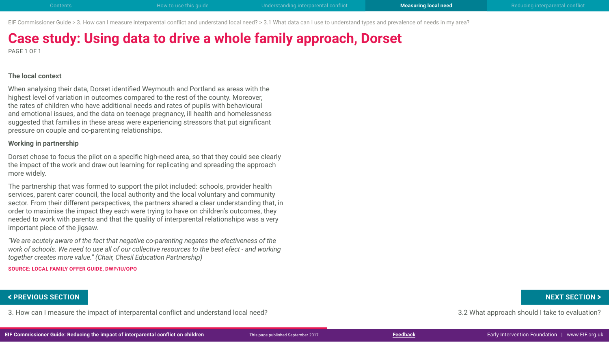EIF Commissioner Guide > 3. How can I measure interparental conflict and understand local need? > 3.1 What data can I use to understand types and prevalence of needs in my area?

# **Case study: Using data to drive a whole family approach, Dorset**

PAGE 1 OF 1

### **The local context**

When analysing their data, Dorset identified Weymouth and Portland as areas with the highest level of variation in outcomes compared to the rest of the county. Moreover, the rates of children who have additional needs and rates of pupils with behavioural and emotional issues, and the data on teenage pregnancy, ill health and homelessness suggested that families in these areas were experiencing stressors that put significant pressure on couple and co-parenting relationships.

### **Working in partnership**

Dorset chose to focus the pilot on a specific high-need area, so that they could see clearly the impact of the work and draw out learning for replicating and spreading the approach more widely.

The partnership that was formed to support the pilot included: schools, provider health services, parent carer council, the local authority and the local voluntary and community sector. From their different perspectives, the partners shared a clear understanding that, in order to maximise the impact they each were trying to have on children's outcomes, they needed to work with parents and that the quality of interparental relationships was a very important piece of the jigsaw.

*"We are acutely aware of the fact that negative co-parenting negates the efectiveness of the work of schools. We need to use all of our collective resources to the best efect - and working together creates more value." (Chair, Chesil Education Partnership)*

**SOURCE: LOCAL FAMILY OFFER GUIDE, DWP/IU/OPO**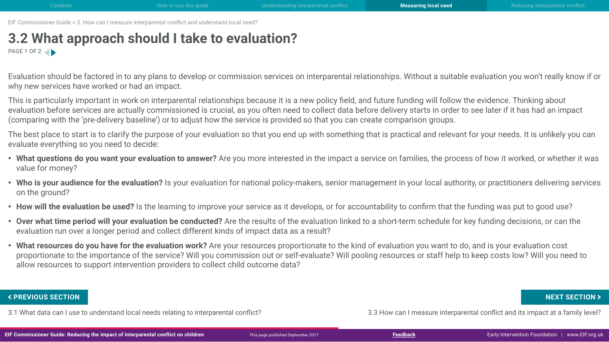## <span id="page-31-0"></span>**3.2 What approach should I take to evaluation?** PAGE 1 OF 2

Evaluation should be factored in to any plans to develop or commission services on interparental relationships. Without a suitable evaluation you won't really know if or why new services have worked or had an impact.

This is particularly important in work on interparental relationships because it is a new policy field, and future funding will follow the evidence. Thinking about evaluation before services are actually commissioned is crucial, as you often need to collect data before delivery starts in order to see later if it has had an impact (comparing with the 'pre-delivery baseline') or to adjust how the service is provided so that you can create comparison groups.

The best place to start is to clarify the purpose of your evaluation so that you end up with something that is practical and relevant for your needs. It is unlikely you can evaluate everything so you need to decide:

- **What questions do you want your evaluation to answer?** Are you more interested in the impact a service on families, the process of how it worked, or whether it was value for money?
- **Who is your audience for the evaluation?** Is your evaluation for national policy-makers, senior management in your local authority, or practitioners delivering services on the ground?
- **How will the evaluation be used?** Is the learning to improve your service as it develops, or for accountability to confirm that the funding was put to good use?
- **Over what time period will your evaluation be conducted?** Are the results of the evaluation linked to a short-term schedule for key funding decisions, or can the evaluation run over a longer period and collect different kinds of impact data as a result?
- **What resources do you have for the evaluation work?** Are your resources proportionate to the kind of evaluation you want to do, and is your evaluation cost proportionate to the importance of the service? Will you commission out or self-evaluate? Will pooling resources or staff help to keep costs low? Will you need to allow resources to support intervention providers to collect child outcome data?

3.1 What data can I use to understand local needs relating to interparental conflict? 3.3 How can I measure interparental conflict and its impact at a family level? FREVIOUS SECTION NEXT SECTION ><br>3.1 What data can I use to understand local needs relating to interparental conflict?<br>IF Commissioner Guide: Reducing the impact of interparental conflict on children This page published Sep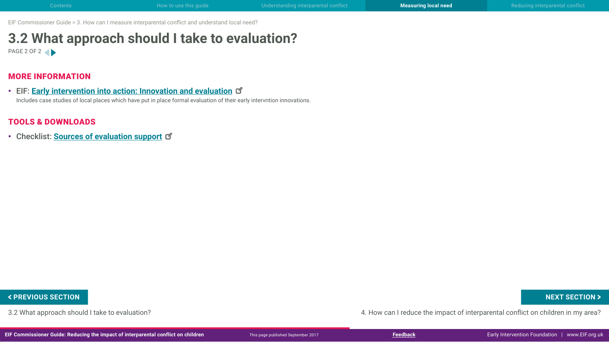## **3.2 What approach should I take to evaluation?** PAGE 2 OF 2

### MORE INFORMATION

• EIF: **Early intervention into action: Innovation and evaluation** Includes case studies of local places which have put in place formal evaluation of their early intervntion innovations.

### TOOLS & DOWNLOADS

• Checklist: **[Sources of evaluation suppor](http://www.eif.org.uk/wp-content/uploads/2017/09/CG-IPR_3-2_evaluation-support.pdf)t**

3.2 What approach should I take to evaluation? 4. How can I reduce the impact of interparental conflict on children in my area? FREVIOUS SECTION NEXT SECTION ><br>3.2 What approach should I take to evaluation?<br>IF Commissioner Guide: Reducing the impact of interparental conflict on children whis page published September 2017<br>IF Commissioner Guide: Redu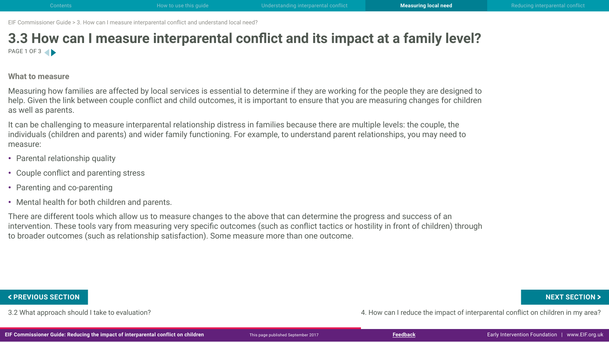## <span id="page-33-0"></span>**3.3 How can I measure interparental conflict and its impact at a family level?** PAGE 1 OF 3

### **What to measure**

Measuring how families are affected by local services is essential to determine if they are working for the people they are designed to help. Given the link between couple conflict and child outcomes, it is important to ensure that you are measuring changes for children as well as parents.

It can be challenging to measure interparental relationship distress in families because there are multiple levels: the couple, the individuals (children and parents) and wider family functioning. For example, to understand parent relationships, you may need to measure:

- Parental relationship quality
- Couple conflict and parenting stress
- Parenting and co-parenting
- Mental health for both children and parents.

There are different tools which allow us to measure changes to the above that can determine the progress and success of an intervention. These tools vary from measuring very specific outcomes (such as conflict tactics or hostility in front of children) through to broader outcomes (such as relationship satisfaction). Some measure more than one outcome.

3.2 What approach should I take to evaluation? 4. How can I reduce the impact of interparental conflict on children in my area? FREVIOUS SECTION NEXT SECTION ><br>3.2 What approach should I take to evaluation?<br>IF Commissioner Guide: Reducing the impact of interparental conflict on children whis page published September 2017<br>IF Commissioner Guide: Redu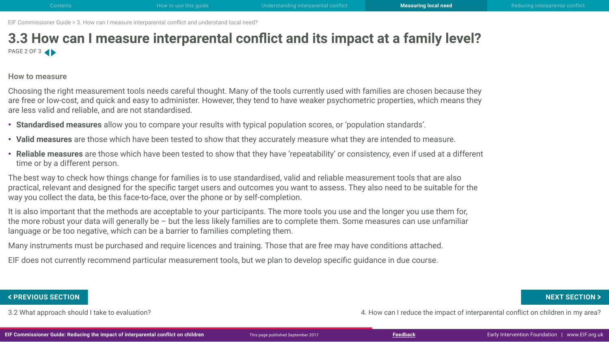## **3.3 How can I measure interparental conflict and its impact at a family level?** PAGE 2 OF 3

### **How to measure**

Choosing the right measurement tools needs careful thought. Many of the tools currently used with families are chosen because they are free or low-cost, and quick and easy to administer. However, they tend to have weaker psychometric properties, which means they are less valid and reliable, and are not standardised.

- **Standardised measures** allow you to compare your results with typical population scores, or 'population standards'.
- **Valid measures** are those which have been tested to show that they accurately measure what they are intended to measure.
- **Reliable measures** are those which have been tested to show that they have 'repeatability' or consistency, even if used at a different time or by a different person.

The best way to check how things change for families is to use standardised, valid and reliable measurement tools that are also practical, relevant and designed for the specific target users and outcomes you want to assess. They also need to be suitable for the way you collect the data, be this face-to-face, over the phone or by self-completion.

It is also important that the methods are acceptable to your participants. The more tools you use and the longer you use them for, the more robust your data will generally be – but the less likely families are to complete them. Some measures can use unfamiliar language or be too negative, which can be a barrier to families completing them.

Many instruments must be purchased and require licences and training. Those that are free may have conditions attached.

EIF does not currently recommend particular measurement tools, but we plan to develop specific guidance in due course.

3.2 What approach should I take to evaluation? 4. How can I reduce the impact of interparental conflict on children in my area? FREVIOUS SECTION NEXT SECTION ><br>3.2 What approach should I take to evaluation?<br>IF Commissioner Guide: Reducing the impact of interparental conflict on children whis page published September 2017<br>IF Commissioner Guide: Redu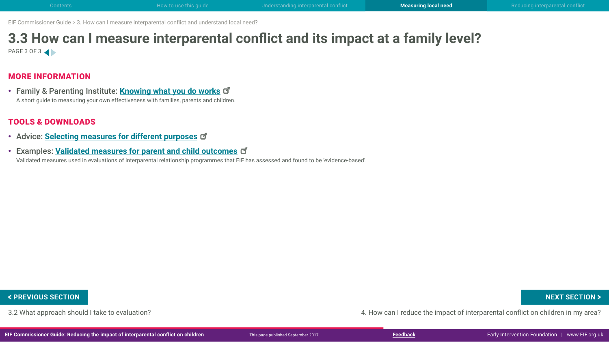## **3.3 How can I measure interparental conflict and its impact at a family level?** PAGE 3 OF 3

### MORE INFORMATION

• Family & Parenting Institute: **[Knowing what you do work](http://www.careforthefamily.org.uk/wp-content/uploads/2014/06/Knowing-what-you-do-works.pdf)s** A short guide to measuring your own effectiveness with families, parents and children.

### TOOLS & DOWNLOADS

- Advice: **[Selecting measures for different purposes](http://www.eif.org.uk/wp-content/uploads/2017/09/CG-IPR_3-3_selecting-measures.pdf)**
- Examples: **[Validated measures for parent and child outcomes](http://www.eif.org.uk/wp-content/uploads/2017/09/CG-IPR_3-3_examples-validated-measures.pdf)**

Validated measures used in evaluations of interparental relationship programmes that EIF has assessed and found to be 'evidence-based'.

3.2 What approach should I take to evaluation? 4. How can I reduce the impact of interparental conflict on children in my area? FREVIOUS SECTION NEXT SECTION ><br>3.2 What approach should I take to evaluation?<br>IF Commissioner Guide: Reducing the impact of interparental conflict on children whis page published September 2017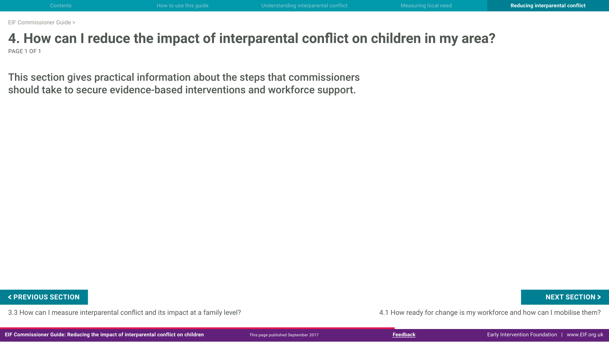## <span id="page-36-0"></span>**4. How can I reduce the impact of interparental conflict on children in my area?** PAGE 1 OF 1

This section gives practical information about the steps that commissioners should take to secure evidence-based interventions and workforce support.

3.3 How can I measure interparental conflict and its impact at a family level? 4.1 How ready for change is my workforce and how can I mobilise them? FREVIOUS SECTION NEXT SECTION ><br>3.3 How can I measure interparental conflict and its impact at a family level?<br>IF Commissioner Guide: Reducing the impact of interparental conflict on children This page published September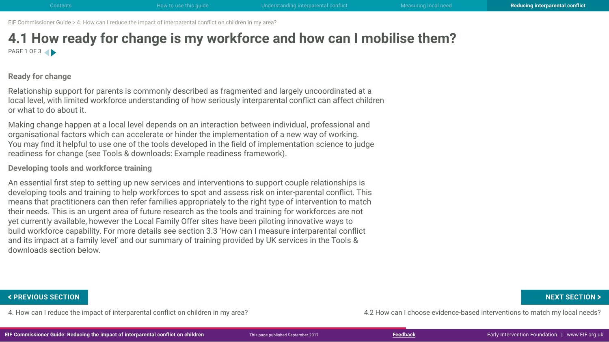## <span id="page-37-0"></span>**4.1 How ready for change is my workforce and how can I mobilise them?** PAGE 1 OF 3

### **Ready for change**

Relationship support for parents is commonly described as fragmented and largely uncoordinated at a local level, with limited workforce understanding of how seriously interparental conflict can affect children or what to do about it.

Making change happen at a local level depends on an interaction between individual, professional and organisational factors which can accelerate or hinder the implementation of a new way of working. You may find it helpful to use one of the tools developed in the field of implementation science to judge readiness for change (see Tools & downloads: Example readiness framework).

**Developing tools and workforce training**

An essential first step to setting up new services and interventions to support couple relationships is developing tools and training to help workforces to spot and assess risk on inter-parental conflict. This means that practitioners can then refer families appropriately to the right type of intervention to match their needs. This is an urgent area of future research as the tools and training for workforces are not yet currently available, however the Local Family Offer sites have been piloting innovative ways to build workforce capability. For more details see section 3.3 'How can I measure interparental conflict and its impact at a family level' and our summary of training provided by UK services in the Tools & downloads section below.

4. How can I reduce the impact of interparental conflict on children in my area? 4.2 How can I choose evidence-based interventions to match my local needs? FREVIOUS SECTION NEXT SECTION ><br>4. How can I reduce the impact of interparental conflict on children in my area?<br>IF Commissioner Guide: Reducing the impact of interparental conflict on children This page published Septembe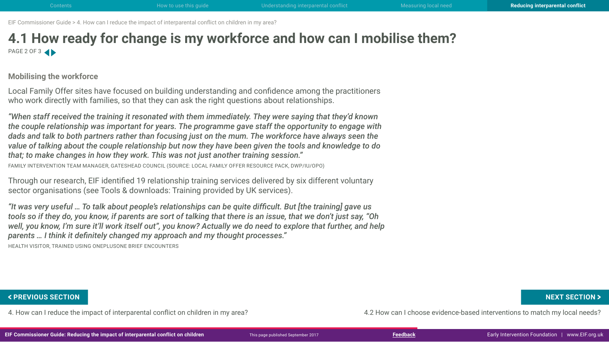## **4.1 How ready for change is my workforce and how can I mobilise them?** PAGE 2 OF 3

**Mobilising the workforce**

Local Family Offer sites have focused on building understanding and confidence among the practitioners who work directly with families, so that they can ask the right questions about relationships.

*"When staff received the training it resonated with them immediately. They were saying that they'd known the couple relationship was important for years. The programme gave staff the opportunity to engage with dads and talk to both partners rather than focusing just on the mum. The workforce have always seen the value of talking about the couple relationship but now they have been given the tools and knowledge to do that; to make changes in how they work. This was not just another training session."* 

FAMILY INTERVENTION TEAM MANAGER, GATESHEAD COUNCIL (SOURCE: LOCAL FAMILY OFFER RESOURCE PACK, DWP/IU/OPO)

Through our research, EIF identified 19 relationship training services delivered by six different voluntary sector organisations (see Tools & downloads: Training provided by UK services).

*"It was very useful … To talk about people's relationships can be quite difficult. But [the training] gave us tools so if they do, you know, if parents are sort of talking that there is an issue, that we don't just say, "Oh well, you know, I'm sure it'll work itself out", you know? Actually we do need to explore that further, and help parents … I think it definitely changed my approach and my thought processes."* 

HEALTH VISITOR, TRAINED USING ONEPLUSONE BRIEF ENCOUNTERS

4. How can I reduce the impact of interparental conflict on children in my area? 4.2 How can I choose evidence-based interventions to match my local needs? FREVIOUS SECTION NEXT SECTION ><br>4. How can I reduce the impact of interparental conflict on children in my area?<br>IF Commissioner Guide: Reducing the impact of interparental conflict on children This page published Septembe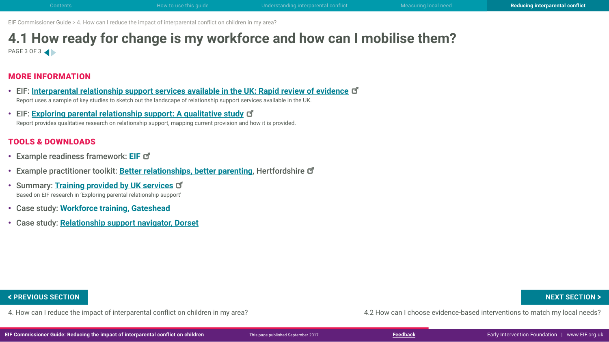## **4.1 How ready for change is my workforce and how can I mobilise them?** PAGE 3 OF 3

### MORE INFORMATION

- EIF: **[Interparental relationship support services available in the UK: Rapid review of evidenc](http://www.eif.org.uk/publication/inter-parental-relationship-support-services-available-in-the-uk-rapid-review-of-evidence/)e** Report uses a sample of key studies to sketch out the landscape of relationship support services available in the UK.
- EIF: **[Exploring parental relationship support: A qualitative study](http://www.eif.org.uk/publication/exploring-parental-relationship-support-a-qualitative-study/)** Report provides qualitative research on relationship support, mapping current provision and how it is provided.

### TOOLS & DOWNLOADS

- Example readiness framework: **[EIF](http://www.eif.org.uk/wp-content/uploads/2017/09/CG-IPR_4-1_readiness-framework.pdf)**
- Example practitioner toolkit: **[Better relationships, better parenting](http://search3.openobjects.com/mediamanager/herts/enterprise/files/better_relationships_tool_kit.pdf)**, Hertfordshire **d**
- Summary: **[Training provided by UK service](http://www.eif.org.uk/wp-content/uploads/2017/09/CG-IPR_4-1_training-services.pdf)s** Based on EIF research in 'Exploring parental relationship support'
- Case study: **Workforce training, Gateshead**
- Case study: **Relationship support navigator, Dorset**

### **< PREVIOUS SECTION NEXT SECTION >**

4. How can I reduce the impact of interparental conflict on children in my area? 4.2 How can I choose evidence-based interventions to match my local needs?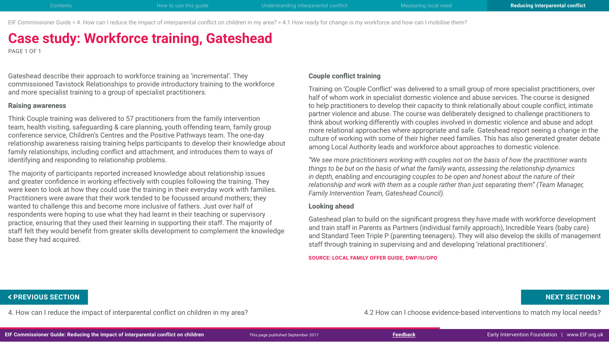EIF Commissioner Guide > 4. How can I reduce the impact of interparental conflict on children in my area? > 4.1 How ready for change is my workforce and how can I mobilise them?

# **Case study: Workforce training, Gateshead**

PAGE 1 OF 1

Gateshead describe their approach to workforce training as 'incremental'. They commissioned Tavistock Relationships to provide introductory training to the workforce and more specialist training to a group of specialist practitioners.

### **Raising awareness**

Think Couple training was delivered to 57 practitioners from the family intervention team, health visiting, safeguarding & care planning, youth offending team, family group conference service, Children's Centres and the Positive Pathways team. The one-day relationship awareness raising training helps participants to develop their knowledge about family relationships, including conflict and attachment, and introduces them to ways of identifying and responding to relationship problems.

The majority of participants reported increased knowledge about relationship issues and greater confidence in working effectively with couples following the training. They were keen to look at how they could use the training in their everyday work with families. Practitioners were aware that their work tended to be focussed around mothers; they wanted to challenge this and become more inclusive of fathers. Just over half of respondents were hoping to use what they had learnt in their teaching or supervisory practice, ensuring that they used their learning in supporting their staff. The majority of staff felt they would benefit from greater skills development to complement the knowledge base they had acquired.

### **Couple conflict training**

Training on 'Couple Conflict' was delivered to a small group of more specialist practitioners, over half of whom work in specialist domestic violence and abuse services. The course is designed to help practitioners to develop their capacity to think relationally about couple conflict, intimate partner violence and abuse. The course was deliberately designed to challenge practitioners to think about working differently with couples involved in domestic violence and abuse and adopt more relational approaches where appropriate and safe. Gateshead report seeing a change in the culture of working with some of their higher need families. This has also generated greater debate among Local Authority leads and workforce about approaches to domestic violence.

*"We see more practitioners working with couples not on the basis of how the practitioner wants things to be but on the basis of what the family wants, assessing the relationship dynamics in depth, enabling and encouraging couples to be open and honest about the nature of their relationship and work with them as a couple rather than just separating them" (Team Manager, Family Intervention Team, Gateshead Council).*

### **Looking ahead**

Gateshead plan to build on the significant progress they have made with workforce development and train staff in Parents as Partners (individual family approach), Incredible Years (baby care) and Standard Teen Triple P (parenting teenagers). They will also develop the skills of management staff through training in supervising and and developing 'relational practitioners'.

**SOURCE: LOCAL FAMILY OFFER GUIDE, DWP/IU/OPO**

4. How can I reduce the impact of interparental conflict on children in my area? 4.2 How can I choose evidence-based interventions to match my local needs? FREVIOUS SECTION NEXT SECTION ><br>4. How can I reduce the impact of interparental conflict on children in my area?<br>IF Commissioner Guide: Reducing the impact of interparental conflict on children This page published Septembe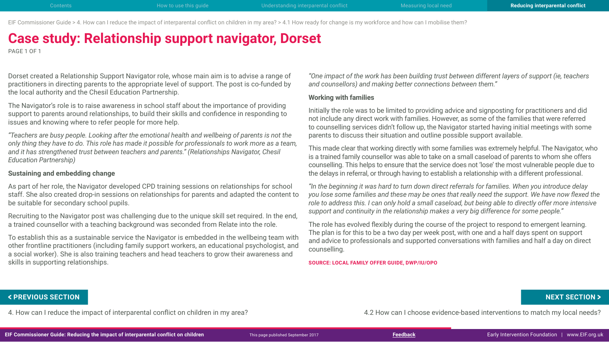EIF Commissioner Guide > 4. How can I reduce the impact of interparental conflict on children in my area? > 4.1 How ready for change is my workforce and how can I mobilise them?

# **Case study: Relationship support navigator, Dorset**

PAGE 1 OF 1

Dorset created a Relationship Support Navigator role, whose main aim is to advise a range of practitioners in directing parents to the appropriate level of support. The post is co-funded by the local authority and the Chesil Education Partnership.

The Navigator's role is to raise awareness in school staff about the importance of providing support to parents around relationships, to build their skills and confidence in responding to issues and knowing where to refer people for more help.

*"Teachers are busy people. Looking after the emotional health and wellbeing of parents is not the only thing they have to do. This role has made it possible for professionals to work more as a team, and it has strengthened trust between teachers and parents." (Relationships Navigator, Chesil Education Partnership)*

### **Sustaining and embedding change**

As part of her role, the Navigator developed CPD training sessions on relationships for school staff. She also created drop-in sessions on relationships for parents and adapted the content to be suitable for secondary school pupils.

Recruiting to the Navigator post was challenging due to the unique skill set required. In the end, a trained counsellor with a teaching background was seconded from Relate into the role.

To establish this as a sustainable service the Navigator is embedded in the wellbeing team with other frontline practitioners (including family support workers, an educational psychologist, and a social worker). She is also training teachers and head teachers to grow their awareness and skills in supporting relationships.

*"One impact of the work has been building trust between different layers of support (ie, teachers and counsellors) and making better connections between them."*

### **Working with families**

Initially the role was to be limited to providing advice and signposting for practitioners and did not include any direct work with families. However, as some of the families that were referred to counselling services didn't follow up, the Navigator started having initial meetings with some parents to discuss their situation and outline possible support available.

This made clear that working directly with some families was extremely helpful. The Navigator, who is a trained family counsellor was able to take on a small caseload of parents to whom she offers counselling. This helps to ensure that the service does not 'lose' the most vulnerable people due to the delays in referral, or through having to establish a relationship with a different professional.

*"In the beginning it was hard to turn down direct referrals for families. When you introduce delay you lose some families and these may be ones that really need the support. We have now flexed the role to address this. I can only hold a small caseload, but being able to directly offer more intensive support and continuity in the relationship makes a very big difference for some people."*

The role has evolved flexibly during the course of the project to respond to emergent learning. The plan is for this to be a two day per week post, with one and a half days spent on support and advice to professionals and supported conversations with families and half a day on direct counselling.

**SOURCE: LOCAL FAMILY OFFER GUIDE, DWP/IU/OPO**

4. How can I reduce the impact of interparental conflict on children in my area? 4.2 How can I choose evidence-based interventions to match my local needs? FREVIOUS SECTION NEXT SECTION ><br>4. How can I reduce the impact of interparental conflict on children in my area?<br>IF Commissioner Guide: Reducing the impact of interparental conflict on children This page published Septembe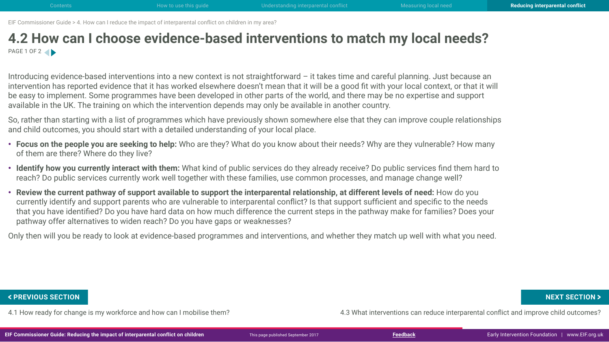## <span id="page-42-0"></span>**4.2 How can I choose evidence-based interventions to match my local needs?** PAGE 1 OF 2

Introducing evidence-based interventions into a new context is not straightforward – it takes time and careful planning. Just because an intervention has reported evidence that it has worked elsewhere doesn't mean that it will be a good fit with your local context, or that it will be easy to implement. Some programmes have been developed in other parts of the world, and there may be no expertise and support available in the UK. The training on which the intervention depends may only be available in another country.

So, rather than starting with a list of programmes which have previously shown somewhere else that they can improve couple relationships and child outcomes, you should start with a detailed understanding of your local place.

- **Focus on the people you are seeking to help:** Who are they? What do you know about their needs? Why are they vulnerable? How many of them are there? Where do they live?
- **Identify how you currently interact with them:** What kind of public services do they already receive? Do public services find them hard to reach? Do public services currently work well together with these families, use common processes, and manage change well?
- **Review the current pathway of support available to support the interparental relationship, at different levels of need:** How do you currently identify and support parents who are vulnerable to interparental conflict? Is that support sufficient and specific to the needs that you have identified? Do you have hard data on how much difference the current steps in the pathway make for families? Does your pathway offer alternatives to widen reach? Do you have gaps or weaknesses?

Only then will you be ready to look at evidence-based programmes and interventions, and whether they match up well with what you need.

4.1 How ready for change is my workforce and how can I mobilise them? 4.3 What interventions can reduce interparental conflict and improve child outcomes? FREVIOUS SECTION NEXT SECTION ><br>4.1 How ready for change is my workforce and how can I mobilise them?<br>IF Commissioner Guide: Reducing the impact of interparental conflict on children whis page published September 2017<br>IF C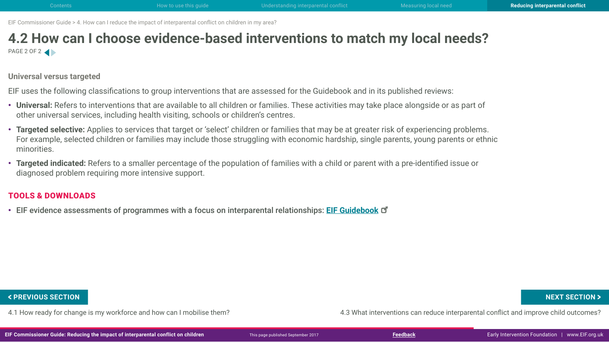## **4.2 How can I choose evidence-based interventions to match my local needs?** PAGE 2 OF 2

**Universal versus targeted**

EIF uses the following classifications to group interventions that are assessed for the Guidebook and in its published reviews:

- **Universal:** Refers to interventions that are available to all children or families. These activities may take place alongside or as part of other universal services, including health visiting, schools or children's centres.
- **Targeted selective:** Applies to services that target or 'select' children or families that may be at greater risk of experiencing problems. For example, selected children or families may include those struggling with economic hardship, single parents, young parents or ethnic minorities.
- **Targeted indicated:** Refers to a smaller percentage of the population of families with a child or parent with a pre-identified issue or diagnosed problem requiring more intensive support.

### TOOLS & DOWNLOADS

• EIF evidence assessments of programmes with a focus on interparental relationships: **[EIF Guidebook](http://guidebook.eif.org.uk/search?search=interparental+relationships)**

4.1 How ready for change is my workforce and how can I mobilise them? 4.3 What interventions can reduce interparental conflict and improve child outcomes? FREVIOUS SECTION NEXT SECTION ><br>4.1 How ready for change is my workforce and how can I mobilise them?<br>IF Commissioner Guide: Reducing the impact of interparental conflict on children whis page published September 2017<br>IF C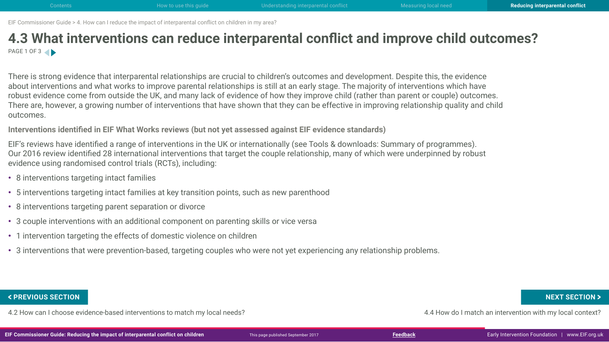## <span id="page-44-0"></span>**4.3 What interventions can reduce interparental conflict and improve child outcomes?** PAGE 1 OF 3

There is strong evidence that interparental relationships are crucial to children's outcomes and development. Despite this, the evidence about interventions and what works to improve parental relationships is still at an early stage. The majority of interventions which have robust evidence come from outside the UK, and many lack of evidence of how they improve child (rather than parent or couple) outcomes. There are, however, a growing number of interventions that have shown that they can be effective in improving relationship quality and child outcomes.

**Interventions identified in EIF What Works reviews (but not yet assessed against EIF evidence standards)**

EIF's reviews have identified a range of interventions in the UK or internationally (see Tools & downloads: Summary of programmes). Our 2016 review identified 28 international interventions that target the couple relationship, many of which were underpinned by robust evidence using randomised control trials (RCTs), including:

- 8 interventions targeting intact families
- 5 interventions targeting intact families at key transition points, such as new parenthood
- 8 interventions targeting parent separation or divorce
- 3 couple interventions with an additional component on parenting skills or vice versa
- 1 intervention targeting the effects of domestic violence on children
- 3 interventions that were prevention-based, targeting couples who were not yet experiencing any relationship problems.

4.2 How can I choose evidence-based interventions to match my local needs? 4.4 How do I match an intervention with my local context? FREVIOUS SECTION NEXT SECTION ><br>4.2 How can I choose evidence-based interventions to match my local needs?<br>IF Commissioner Guide: Reducing the impact of interparental conflict on children with my local context?<br>IF Commissi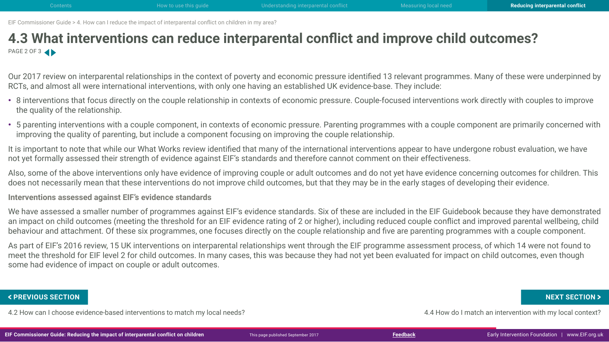## **4.3 What interventions can reduce interparental conflict and improve child outcomes?** PAGE 2 OF 3

Our 2017 review on interparental relationships in the context of poverty and economic pressure identified 13 relevant programmes. Many of these were underpinned by RCTs, and almost all were international interventions, with only one having an established UK evidence-base. They include:

- 8 interventions that focus directly on the couple relationship in contexts of economic pressure. Couple-focused interventions work directly with couples to improve the quality of the relationship.
- 5 parenting interventions with a couple component, in contexts of economic pressure. Parenting programmes with a couple component are primarily concerned with improving the quality of parenting, but include a component focusing on improving the couple relationship.

It is important to note that while our What Works review identified that many of the international interventions appear to have undergone robust evaluation, we have not yet formally assessed their strength of evidence against EIF's standards and therefore cannot comment on their effectiveness.

Also, some of the above interventions only have evidence of improving couple or adult outcomes and do not yet have evidence concerning outcomes for children. This does not necessarily mean that these interventions do not improve child outcomes, but that they may be in the early stages of developing their evidence.

**Interventions assessed against EIF's evidence standards**

We have assessed a smaller number of programmes against EIF's evidence standards. Six of these are included in the EIF Guidebook because they have demonstrated an impact on child outcomes (meeting the threshold for an EIF evidence rating of 2 or higher), including reduced couple conflict and improved parental wellbeing, child behaviour and attachment. Of these six programmes, one focuses directly on the couple relationship and five are parenting programmes with a couple component.

As part of EIF's 2016 review, 15 UK interventions on interparental relationships went through the EIF programme assessment process, of which 14 were not found to meet the threshold for EIF level 2 for child outcomes. In many cases, this was because they had not yet been evaluated for impact on child outcomes, even though some had evidence of impact on couple or adult outcomes.

4.2 How can I choose evidence-based interventions to match my local needs? 4.4 How do I match an intervention with my local context? FREVIOUS SECTION NEXT SECTION ><br>4.2 How can I choose evidence-based interventions to match my local needs?<br>IF Commissioner Guide: Reducing the impact of interparental conflict on children whis page published September 2017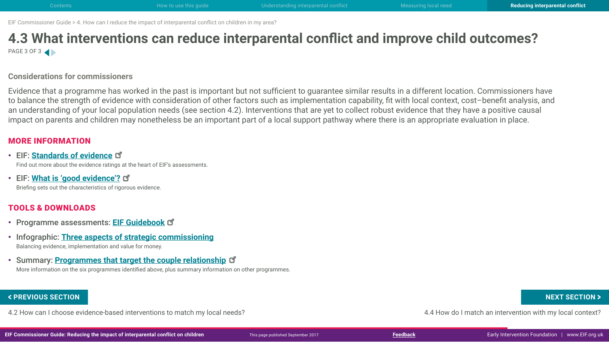## **4.3 What interventions can reduce interparental conflict and improve child outcomes?** PAGE 3 OF 3

### **Considerations for commissioners**

Evidence that a programme has worked in the past is important but not sufficient to guarantee similar results in a different location. Commissioners have to balance the strength of evidence with consideration of other factors such as implementation capability, fit with local context, cost–benefit analysis, and an understanding of your local population needs (see section 4.2). Interventions that are yet to collect robust evidence that they have a positive causal impact on parents and children may nonetheless be an important part of a local support pathway where there is an appropriate evaluation in place.

### MORE INFORMATION

- EIF: **[Standards of evidenc](http://guidebook.eif.org.uk/eif-evidence-standards)e** Find out more about the evidence ratings at the heart of EIF's assessments.
- EIF: **[What is 'good evidence'](http://www.eif.org.uk/wp-content/uploads/2017/09/CG-IPR_4-3_good-evidence.pdf)?** Briefing sets out the characteristics of rigorous evidence.

### TOOLS & DOWNLOADS

- Programme assessments: **[EIF Guidebook](http://guidebook.eif.org.uk/)**
- Infographic: **Three aspects of strategic commissioning** Balancing evidence, implementation and value for money.
- Summary: **[Programmes that target the couple relationship](http://www.eif.org.uk/wp-content/uploads/2017/09/CG-IPR_4-3_programmes-targeting-couple-relationship.pdf)** More information on the six programmes identified above, plus summary information on other programmes.

4.2 How can I choose evidence-based interventions to match my local needs? 4.4 How do I match an intervention with my local context? FREVIOUS SECTION NEXT SECTION ><br>4.2 How can I choose evidence-based interventions to match my local needs?<br>IF Commissioner Guide: Reducing the impact of interparental conflict on children whis page published September 2017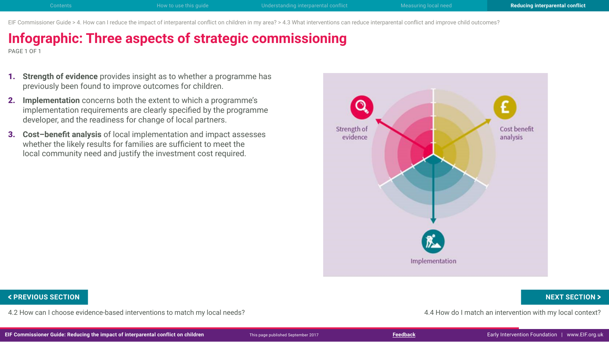EIF Commissioner Guide > 4. How can I reduce the impact of interparental conflict on children in my area? > 4.3 What interventions can reduce interparental conflict and improve child outcomes?

# **Infographic: Three aspects of strategic commissioning**

PAGE 1 OF 1

- 1. **Strength of evidence** provides insight as to whether a programme has previously been found to improve outcomes for children.
- 2. **Implementation** concerns both the extent to which a programme's implementation requirements are clearly specified by the programme developer, and the readiness for change of local partners.
- 3. **Cost–benefit analysis** of local implementation and impact assesses whether the likely results for families are sufficient to meet the local community need and justify the investment cost required.



4.2 How can I choose evidence-based interventions to match my local needs? 4.4 How do I match an intervention with my local context? FREVIOUS SECTION NEXT SECTION ><br>4.2 How can I choose evidence-based interventions to match my local needs?<br>IF Commissioner Guide: Reducing the impact of interparental conflict on children whis page published September 2017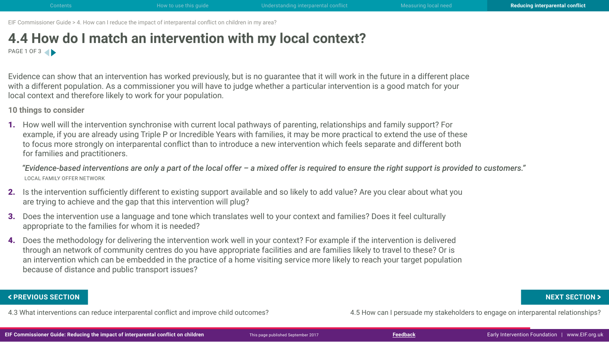## <span id="page-48-0"></span>**4.4 How do I match an intervention with my local context?** PAGE 1 OF 3

Evidence can show that an intervention has worked previously, but is no guarantee that it will work in the future in a different place with a different population. As a commissioner you will have to judge whether a particular intervention is a good match for your local context and therefore likely to work for your population.

**10 things to consider**

1. How well will the intervention synchronise with current local pathways of parenting, relationships and family support? For example, if you are already using Triple P or Incredible Years with families, it may be more practical to extend the use of these to focus more strongly on interparental conflict than to introduce a new intervention which feels separate and different both for families and practitioners.

*"Evidence-based interventions are only a part of the local offer – a mixed offer is required to ensure the right support is provided to customers."* LOCAL FAMILY OFFER NETWORK

- 2. Is the intervention sufficiently different to existing support available and so likely to add value? Are you clear about what you are trying to achieve and the gap that this intervention will plug?
- 3. Does the intervention use a language and tone which translates well to your context and families? Does it feel culturally appropriate to the families for whom it is needed?
- 4. Does the methodology for delivering the intervention work well in your context? For example if the intervention is delivered through an network of community centres do you have appropriate facilities and are families likely to travel to these? Or is an intervention which can be embedded in the practice of a home visiting service more likely to reach your target population because of distance and public transport issues?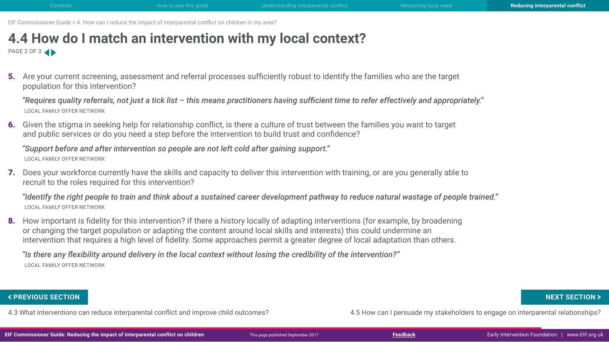## **4.4 How do I match an intervention with my local context?** PAGE 2 OF 3

5. Are your current screening, assessment and referral processes sufficiently robust to identify the families who are the target population for this intervention?

*"Requires quality referrals, not just a tick list – this means practitioners having sufficient time to refer effectively and appropriately."*  LOCAL FAMILY OFFER NETWORK

6. Given the stigma in seeking help for relationship conflict, is there a culture of trust between the families you want to target and public services or do you need a step before the intervention to build trust and confidence?

*"Support before and after intervention so people are not left cold after gaining support."*  LOCAL FAMILY OFFER NETWORK

7. Does your workforce currently have the skills and capacity to deliver this intervention with training, or are you generally able to recruit to the roles required for this intervention?

*"Identify the right people to train and think about a sustained career development pathway to reduce natural wastage of people trained."*  LOCAL FAMILY OFFER NETWORK

8. How important is fidelity for this intervention? If there a history locally of adapting interventions (for example, by broadening or changing the target population or adapting the content around local skills and interests) this could undermine an intervention that requires a high level of fidelity. Some approaches permit a greater degree of local adaptation than others.

*"Is there any flexibility around delivery in the local context without losing the credibility of the intervention?"*  LOCAL FAMILY OFFER NETWORK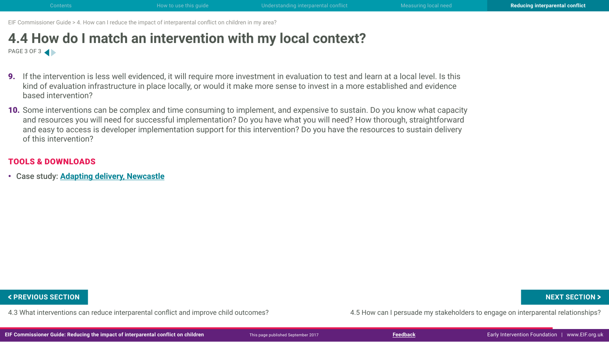## **4.4 How do I match an intervention with my local context?** PAGE 3 OF 3

- 9. If the intervention is less well evidenced, it will require more investment in evaluation to test and learn at a local level. Is this kind of evaluation infrastructure in place locally, or would it make more sense to invest in a more established and evidence based intervention?
- 10. Some interventions can be complex and time consuming to implement, and expensive to sustain. Do you know what capacity and resources you will need for successful implementation? Do you have what you will need? How thorough, straightforward and easy to access is developer implementation support for this intervention? Do you have the resources to sustain delivery of this intervention?

### TOOLS & DOWNLOADS

• Case study: **Adapting delivery, Newcastle**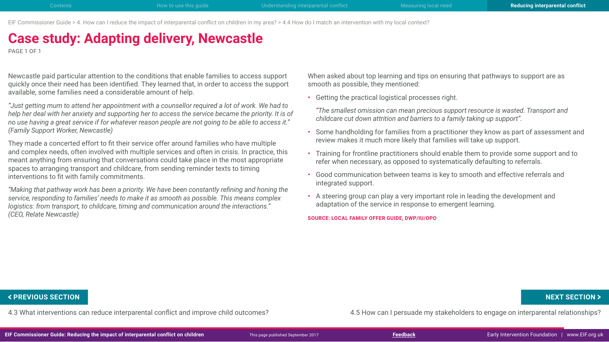EIF Commissioner Guide > 4. How can I reduce the impact of interparental conflict on children in my area? > 4.4 How do I match an intervention with my local context?

# **Case study: Adapting delivery, Newcastle**

PAGE 1 OF 1

Newcastle paid particular attention to the conditions that enable families to access support quickly once their need has been identified. They learned that, in order to access the support available, some families need a considerable amount of help.

*"Just getting mum to attend her appointment with a counsellor required a lot of work. We had to help her deal with her anxiety and supporting her to access the service became the priority. It is of no use having a great service if for whatever reason people are not going to be able to access it." (Family Support Worker, Newcastle)*

They made a concerted effort to fit their service offer around families who have multiple and complex needs, often involved with multiple services and often in crisis. In practice, this meant anything from ensuring that conversations could take place in the most appropriate spaces to arranging transport and childcare, from sending reminder texts to timing interventions to fit with family commitments.

*"Making that pathway work has been a priority. We have been constantly refining and honing the service, responding to families' needs to make it as smooth as possible. This means complex logistics: from transport, to childcare, timing and communication around the interactions." (CEO, Relate Newcastle)*

When asked about top learning and tips on ensuring that pathways to support are as smooth as possible, they mentioned:

• Getting the practical logistical processes right.

*"The smallest omission can mean precious support resource is wasted. Transport and childcare cut down attrition and barriers to a family taking up support".*

- Some handholding for families from a practitioner they know as part of assessment and review makes it much more likely that families will take up support.
- Training for frontline practitioners should enable them to provide some support and to refer when necessary, as opposed to systematically defaulting to referrals.
- Good communication between teams is key to smooth and effective referrals and integrated support.
- A steering group can play a very important role in leading the development and adaptation of the service in response to emergent learning.

**SOURCE: LOCAL FAMILY OFFER GUIDE, DWP/IU/OPO**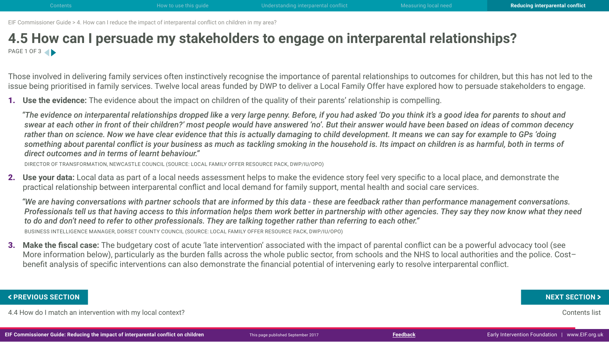## <span id="page-52-0"></span>**4.5 How can I persuade my stakeholders to engage on interparental relationships?** PAGE 1 OF 3

Those involved in delivering family services often instinctively recognise the importance of parental relationships to outcomes for children, but this has not led to the issue being prioritised in family services. Twelve local areas funded by DWP to deliver a Local Family Offer have explored how to persuade stakeholders to engage.

1. **Use the evidence:** The evidence about the impact on children of the quality of their parents' relationship is compelling.

*"The evidence on interparental relationships dropped like a very large penny. Before, if you had asked 'Do you think it's a good idea for parents to shout and swear at each other in front of their children?' most people would have answered 'no'. But their answer would have been based on ideas of common decency rather than on science. Now we have clear evidence that this is actually damaging to child development. It means we can say for example to GPs 'doing something about parental conflict is your business as much as tackling smoking in the household is. Its impact on children is as harmful, both in terms of direct outcomes and in terms of learnt behaviour."* 

DIRECTOR OF TRANSFORMATION, NEWCASTLE COUNCIL (SOURCE: LOCAL FAMILY OFFER RESOURCE PACK, DWP/IU/OPO)

2. **Use your data:** Local data as part of a local needs assessment helps to make the evidence story feel very specific to a local place, and demonstrate the practical relationship between interparental conflict and local demand for family support, mental health and social care services.

*"We are having conversations with partner schools that are informed by this data - these are feedback rather than performance management conversations. Professionals tell us that having access to this information helps them work better in partnership with other agencies. They say they now know what they need to do and don't need to refer to other professionals. They are talking together rather than referring to each other."*  BUSINESS INTELLIGENCE MANAGER, DORSET COUNTY COUNCIL (SOURCE: LOCAL FAMILY OFFER RESOURCE PACK, DWP/IU/OPO)

3. **Make the fiscal case:** The budgetary cost of acute 'late intervention' associated with the impact of parental conflict can be a powerful advocacy tool (see More information below), particularly as the burden falls across the whole public sector, from schools and the NHS to local authorities and the police. Cost– benefit analysis of specific interventions can also demonstrate the financial potential of intervening early to resolve interparental conflict.

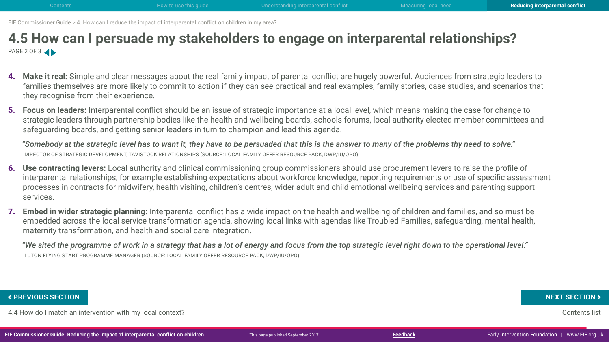## **4.5 How can I persuade my stakeholders to engage on interparental relationships?** PAGE 2 OF 3

- 4. **Make it real:** Simple and clear messages about the real family impact of parental conflict are hugely powerful. Audiences from strategic leaders to families themselves are more likely to commit to action if they can see practical and real examples, family stories, case studies, and scenarios that they recognise from their experience.
- 5. **Focus on leaders:** Interparental conflict should be an issue of strategic importance at a local level, which means making the case for change to strategic leaders through partnership bodies like the health and wellbeing boards, schools forums, local authority elected member committees and safeguarding boards, and getting senior leaders in turn to champion and lead this agenda.

*"Somebody at the strategic level has to want it, they have to be persuaded that this is the answer to many of the problems thy need to solve."*  DIRECTOR OF STRATEGIC DEVELOPMENT, TAVISTOCK RELATIONSHIPS (SOURCE: LOCAL FAMILY OFFER RESOURCE PACK, DWP/IU/OPO)

- 6. **Use contracting levers:** Local authority and clinical commissioning group commissioners should use procurement levers to raise the profile of interparental relationships, for example establishing expectations about workforce knowledge, reporting requirements or use of specific assessment processes in contracts for midwifery, health visiting, children's centres, wider adult and child emotional wellbeing services and parenting support services.
- 7. **Embed in wider strategic planning:** Interparental conflict has a wide impact on the health and wellbeing of children and families, and so must be embedded across the local service transformation agenda, showing local links with agendas like Troubled Families, safeguarding, mental health, maternity transformation, and health and social care integration.

*"We sited the programme of work in a strategy that has a lot of energy and focus from the top strategic level right down to the operational level."* LUTON FLYING START PROGRAMME MANAGER (SOURCE: LOCAL FAMILY OFFER RESOURCE PACK, DWP/IU/OPO)

4.4 How do I match an intervention with my local context? Contents list **FIGURE A** FREVIOUS SECTION **XEXT SECTION**<br>4.4 How do I match an intervention with my local context?<br>IF Commissioner Guide: Reducing the impact of interparental conflict on children **Figure and A Provide A** Frack This page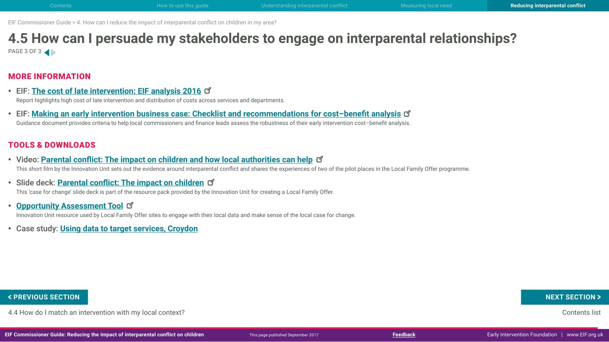## **4.5 How can I persuade my stakeholders to engage on interparental relationships?** PAGE 3 OF 3

### MORE INFORMATION

- EIF: **[The cost of late intervention: EIF analysis 201](http://www.eif.org.uk/publication/the-cost-of-late-intervention-eif-analysis-2016/)6** Report highlights high cost of late intervention and distribution of costs across services and departments.
- EIF: **[Making an early intervention business case: Checklist and recommendations for cost–benefit analysi](http://www.eif.org.uk/wp-content/uploads/2015/08/4bc-checklistandrecsforcba.pdf)s** Guidance document provides criteria to help local commissioners and finance leads assess the robustness of their early intervention cost–benefit analysis.

### TOOLS & DOWNLOADS

- Video: **[Parental conflict: The impact on children and how local authorities can hel](https://vimeo.com/216676343)p** This short film by the Innovation Unit sets out the evidence around interparental conflict and shares the experiences of two of the pilot places in the Local Family Offer programme.
- Slide deck: **[Parental conflict: The impact on childre](http://www.innovationunit.org/wp-content/uploads/2017/05/Local-Family-Offer-Case-for-Change.pdf)n**

This 'case for change' slide deck is part of the resource pack provided by the Innovation Unit for creating a Local Family Offer.

- **[Opportunity Assessment Too](http://www.innovationunit.org/wp-content/uploads/2017/05/Local-Family-Offer-Opportunity-Assessment-Tool.pdf)l** Innovation Unit resource used by Local Family Offer sites to engage with their local data and make sense of the local case for change.
- Case study: **Using data to target services, Croydon**

4.4 How do I match an intervention with my local context? Contents list **FREVIOUS SECTION**<br>4.4 How do I match an intervention with my local context?<br>IF Commissioner Guide: Reducing the impact of interparental conflict on children **on the particle on the content** 

**EIF Commissioner Guide: Reducing the impact of interparental conflict on children** Early Intervention Foundation I [www.EIF.org.uk](http://www.eif.org.uk/)